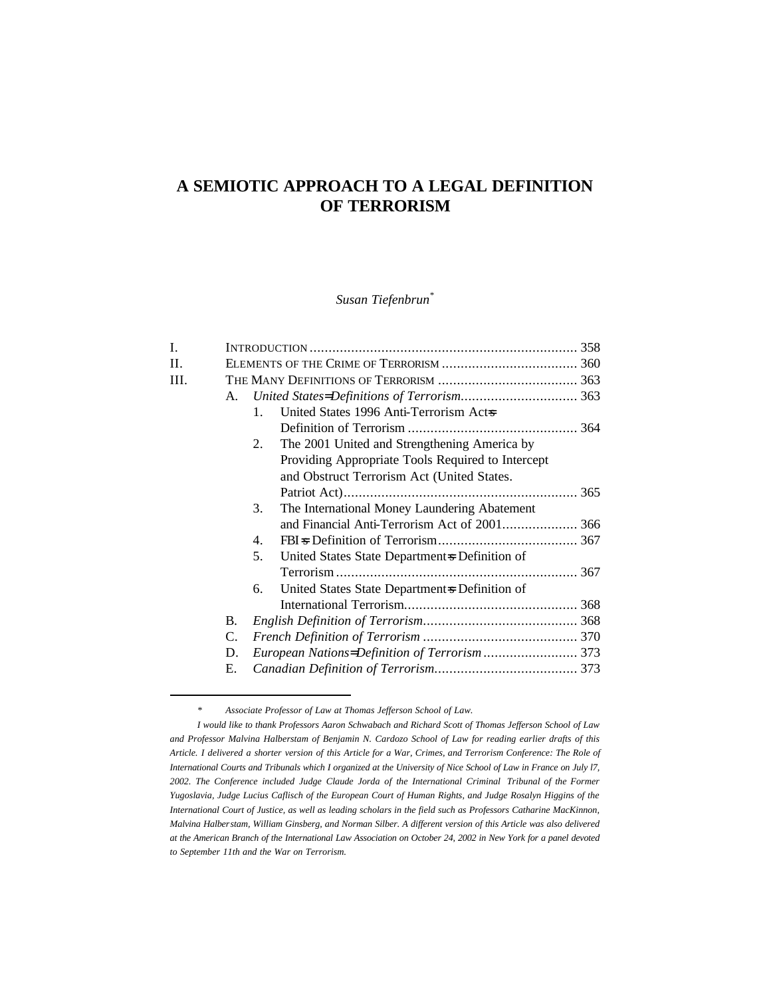# **A SEMIOTIC APPROACH TO A LEGAL DEFINITION OF TERRORISM**

*Susan Tiefenbrun\**

| I.  |    |                                                      |  |
|-----|----|------------------------------------------------------|--|
| II. |    |                                                      |  |
| Ш.  |    |                                                      |  |
|     | А. |                                                      |  |
|     |    | United States 1996 Anti-Terrorism Acts<br>$1_{-}$    |  |
|     |    |                                                      |  |
|     |    | The 2001 United and Strengthening America by<br>2.   |  |
|     |    | Providing Appropriate Tools Required to Intercept    |  |
|     |    | and Obstruct Terrorism Act (United States.           |  |
|     |    |                                                      |  |
|     |    | The International Money Laundering Abatement<br>3.   |  |
|     |    | and Financial Anti-Terrorism Act of 2001 366         |  |
|     |    | 4.                                                   |  |
|     |    | 5.<br>United States State Department & Definition of |  |
|     |    |                                                      |  |
|     |    | United States State Department & Definition of<br>6. |  |
|     |    |                                                      |  |
|     | В. |                                                      |  |
|     | C. |                                                      |  |
|     | D. | European Nations=Definition of Terrorism  373        |  |
|     | Е. |                                                      |  |
|     |    |                                                      |  |

*<sup>\*</sup> Associate Professor of Law at Thomas Jefferson School of Law.*

*I would like to thank Professors Aaron Schwabach and Richard Scott of Thomas Jefferson School of Law and Professor Malvina Halberstam of Benjamin N. Cardozo School of Law for reading earlier drafts of this Article. I delivered a shorter version of this Article for a War, Crimes, and Terrorism Conference: The Role of International Courts and Tribunals which I organized at the University of Nice School of Law in France on July l7, 2002. The Conference included Judge Claude Jorda of the International Criminal Tribunal of the Former Yugoslavia, Judge Lucius Caflisch of the European Court of Human Rights, and Judge Rosalyn Higgins of the International Court of Justice, as well as leading scholars in the field such as Professors Catharine MacKinnon, Malvina Halberstam, William Ginsberg, and Norman Silber. A different version of this Article was also delivered at the American Branch of the International Law Association on October 24, 2002 in New York for a panel devoted to September 11th and the War on Terrorism.*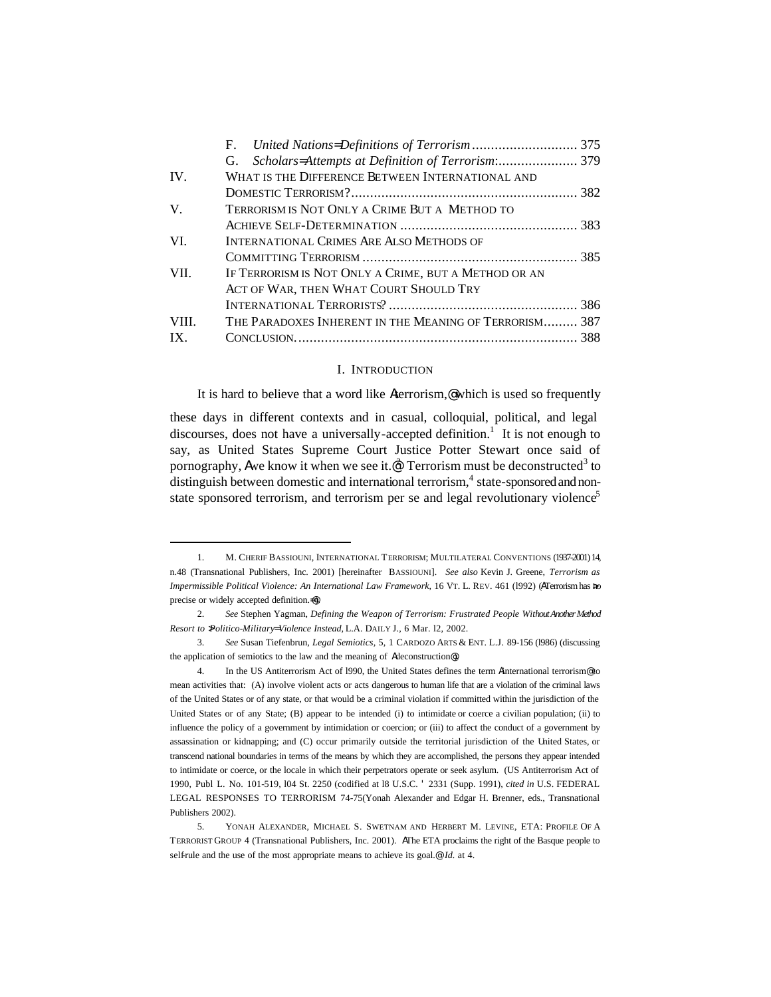|       | F.                                                     |  |  |  |
|-------|--------------------------------------------------------|--|--|--|
|       | G.                                                     |  |  |  |
| IV.   | WHAT IS THE DIFFERENCE BETWEEN INTERNATIONAL AND       |  |  |  |
|       |                                                        |  |  |  |
| V.    | TERRORISM IS NOT ONLY A CRIME BUT A METHOD TO          |  |  |  |
|       |                                                        |  |  |  |
| VI.   | <b>INTERNATIONAL CRIMES ARE ALSO METHODS OF</b>        |  |  |  |
|       |                                                        |  |  |  |
| VII.  | IF TERRORISM IS NOT ONLY A CRIME, BUT A METHOD OR AN   |  |  |  |
|       | ACT OF WAR, THEN WHAT COURT SHOULD TRY                 |  |  |  |
|       |                                                        |  |  |  |
| VIII. | THE PARADOXES INHERENT IN THE MEANING OF TERRORISM 387 |  |  |  |
| IX.   |                                                        |  |  |  |
|       |                                                        |  |  |  |

#### I. INTRODUCTION

It is hard to believe that a word like Aterrorism,@ which is used so frequently

these days in different contexts and in casual, colloquial, political, and legal discourses, does not have a universally-accepted definition.<sup>1</sup> It is not enough to say, as United States Supreme Court Justice Potter Stewart once said of pornography, Awe know it when we see it. $\mathcal{C}$  Terrorism must be deconstructed<sup>3</sup> to distinguish between domestic and international terrorism,<sup>4</sup> state-sponsored and nonstate sponsored terrorism, and terrorism per se and legal revolutionary violence<sup>5</sup>

<sup>1.</sup> M. CHERIF BASSIOUNI, INTERNATIONAL TERRORISM; MULTILATERAL CONVENTIONS (1937-2001) 14, n.48 (Transnational Publishers, Inc. 2001) [hereinafter BASSIOUNI]. *See also* Kevin J. Greene, *Terrorism as Impermissible Political Violence: An International Law Framework,* 16 VT. L. REV. 461 (l992) (ATerrorism has >no precise or widely accepted definition.=@).

<sup>2.</sup> *See* Stephen Yagman, *Defining the Weapon of Terrorism: Frustrated People Without Another Method Resort to >Politico-Military= Violence Instead,* L.A. DAILY J., 6 Mar. l2, 2002.

<sup>3.</sup> *See* Susan Tiefenbrun, *Legal Semiotics,* 5, 1 CARDOZO ARTS & ENT. L.J. 89-156 (l986) (discussing the application of semiotics to the law and the meaning of Adeconstruction@).

<sup>4.</sup> In the US Antiterrorism Act of l990, the United States defines the term Ainternational terrorism@ to mean activities that: (A) involve violent acts or acts dangerous to human life that are a violation of the criminal laws of the United States or of any state, or that would be a criminal violation if committed within the jurisdiction of the United States or of any State; (B) appear to be intended (i) to intimidate or coerce a civilian population; (ii) to influence the policy of a government by intimidation or coercion; or (iii) to affect the conduct of a government by assassination or kidnapping; and (C) occur primarily outside the territorial jurisdiction of the United States, or transcend national boundaries in terms of the means by which they are accomplished, the persons they appear intended to intimidate or coerce, or the locale in which their perpetrators operate or seek asylum. (US Antiterrorism Act of 1990, Publ L. No. 101-519, l04 St. 2250 (codified at l8 U.S.C. ' 2331 (Supp. 1991), *cited in* U.S. FEDERAL LEGAL RESPONSES TO TERRORISM 74-75(Yonah Alexander and Edgar H. Brenner, eds., Transnational Publishers 2002).

<sup>5.</sup> YONAH ALEXANDER, MICHAEL S. SWETNAM AND HERBERT M. LEVINE, ETA: PROFILE OF A TERRORIST GROUP 4 (Transnational Publishers, Inc. 2001). AThe ETA proclaims the right of the Basque people to self-rule and the use of the most appropriate means to achieve its goal.@ *Id.* at 4.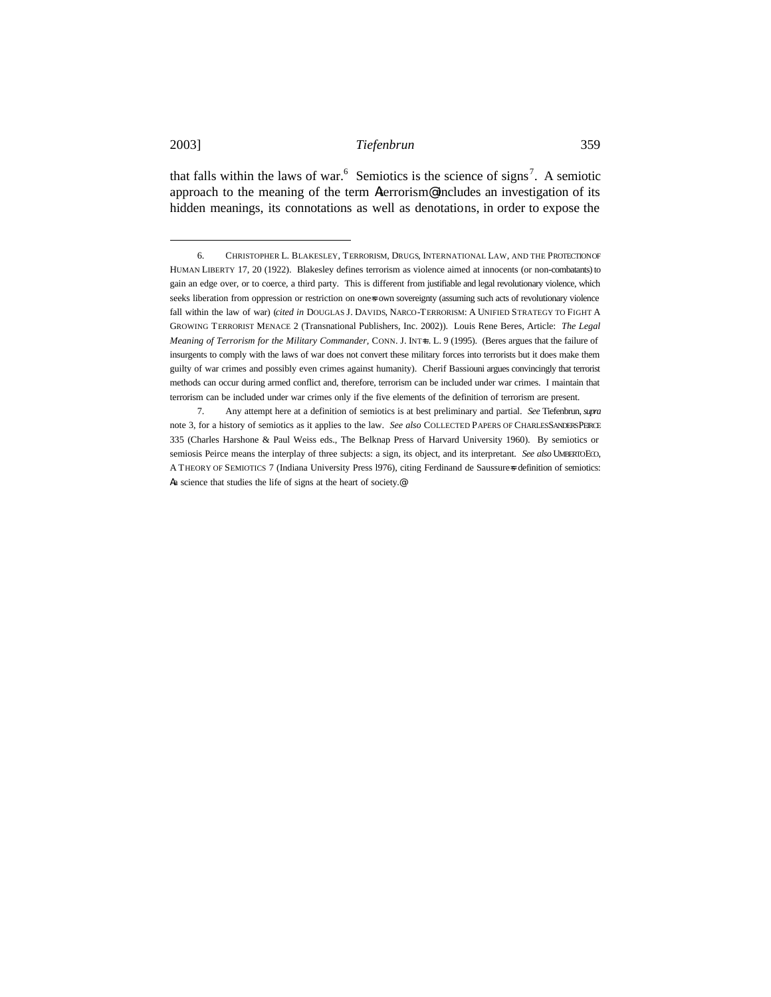that falls within the laws of war.<sup>6</sup> Semiotics is the science of signs<sup>7</sup>. A semiotic approach to the meaning of the term Aterrorism@ includes an investigation of its hidden meanings, its connotations as well as denotations, in order to expose the

<sup>6.</sup> CHRISTOPHER L. BLAKESLEY, TERRORISM, DRUGS, INTERNATIONAL LAW, AND THE PROTECTION OF HUMAN LIBERTY 17, 20 (1922). Blakesley defines terrorism as violence aimed at innocents (or non-combatants) to gain an edge over, or to coerce, a third party. This is different from justifiable and legal revolutionary violence, which seeks liberation from oppression or restriction on ones own sovereignty (assuming such acts of revolutionary violence fall within the law of war) (*cited in* DOUGLAS J. DAVIDS, NARCO-TERRORISM: A UNIFIED STRATEGY TO FIGHT A GROWING TERRORIST MENACE 2 (Transnational Publishers, Inc. 2002)). Louis Rene Beres, Article: *The Legal Meaning of Terrorism for the Military Commander, CONN. J. INT-L. L. 9 (1995). (Beres argues that the failure of* insurgents to comply with the laws of war does not convert these military forces into terrorists but it does make them guilty of war crimes and possibly even crimes against humanity). Cherif Bassiouni argues convincingly that terrorist methods can occur during armed conflict and, therefore, terrorism can be included under war crimes. I maintain that terrorism can be included under war crimes only if the five elements of the definition of terrorism are present.

<sup>7.</sup> Any attempt here at a definition of semiotics is at best preliminary and partial. *See* Tiefenbrun, *supra*  note 3, for a history of semiotics as it applies to the law. *See also* COLLECTED PAPERS OF CHARLESSANDERS PEIRCE 335 (Charles Harshone & Paul Weiss eds., The Belknap Press of Harvard University 1960). By semiotics or semiosis Peirce means the interplay of three subjects: a sign, its object, and its interpretant. *See also* UMBERTOECO, A THEORY OF SEMIOTICS 7 (Indiana University Press 1976), citing Ferdinand de Saussure=s definition of semiotics: Aa science that studies the life of signs at the heart of society.@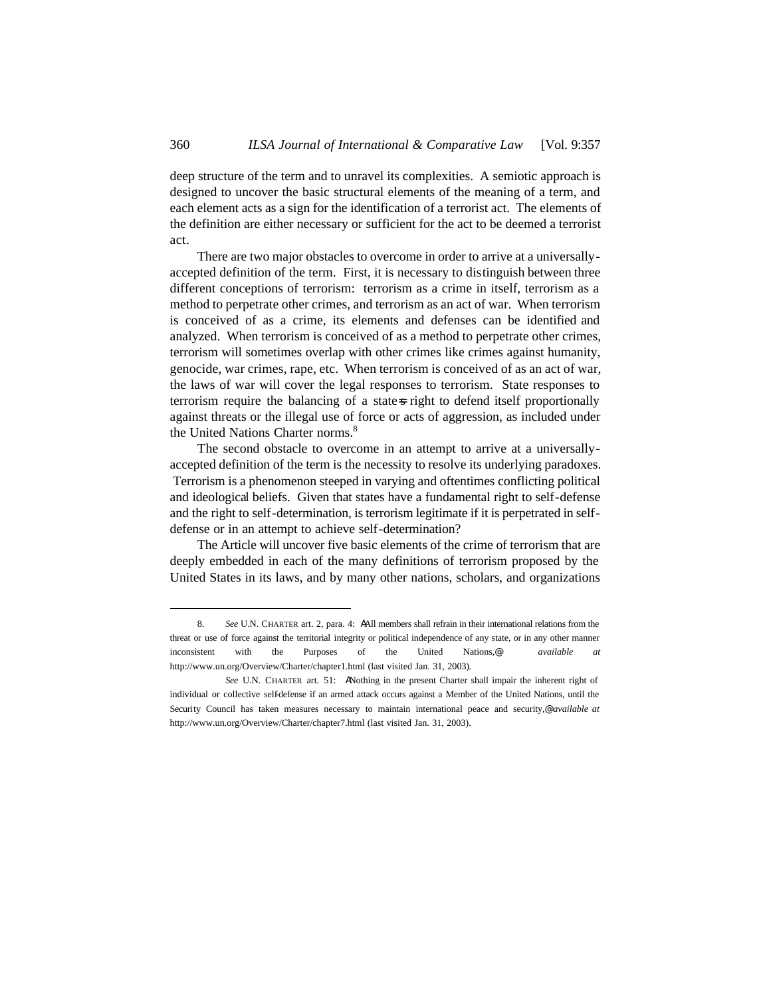deep structure of the term and to unravel its complexities. A semiotic approach is designed to uncover the basic structural elements of the meaning of a term, and each element acts as a sign for the identification of a terrorist act. The elements of the definition are either necessary or sufficient for the act to be deemed a terrorist act.

There are two major obstacles to overcome in order to arrive at a universallyaccepted definition of the term. First, it is necessary to distinguish between three different conceptions of terrorism: terrorism as a crime in itself, terrorism as a method to perpetrate other crimes, and terrorism as an act of war. When terrorism is conceived of as a crime, its elements and defenses can be identified and analyzed. When terrorism is conceived of as a method to perpetrate other crimes, terrorism will sometimes overlap with other crimes like crimes against humanity, genocide, war crimes, rape, etc. When terrorism is conceived of as an act of war, the laws of war will cover the legal responses to terrorism. State responses to terrorism require the balancing of a state-s right to defend itself proportionally against threats or the illegal use of force or acts of aggression, as included under the United Nations Charter norms.<sup>8</sup>

The second obstacle to overcome in an attempt to arrive at a universallyaccepted definition of the term is the necessity to resolve its underlying paradoxes. Terrorism is a phenomenon steeped in varying and oftentimes conflicting political and ideological beliefs. Given that states have a fundamental right to self-defense and the right to self-determination, is terrorism legitimate if it is perpetrated in selfdefense or in an attempt to achieve self-determination?

The Article will uncover five basic elements of the crime of terrorism that are deeply embedded in each of the many definitions of terrorism proposed by the United States in its laws, and by many other nations, scholars, and organizations

<sup>8.</sup> *See* U.N. CHARTER art. 2, para. 4: AAll members shall refrain in their international relations from the threat or use of force against the territorial integrity or political independence of any state, or in any other manner inconsistent with the Purposes of the United Nations,@ *available at* http://www.un.org/Overview/Charter/chapter1.html (last visited Jan. 31, 2003).

*See* U.N. CHARTER art. 51: ANothing in the present Charter shall impair the inherent right of individual or collective self-defense if an armed attack occurs against a Member of the United Nations, until the Security Council has taken measures necessary to maintain international peace and security,@ *available at*  http://www.un.org/Overview/Charter/chapter7.html (last visited Jan. 31, 2003).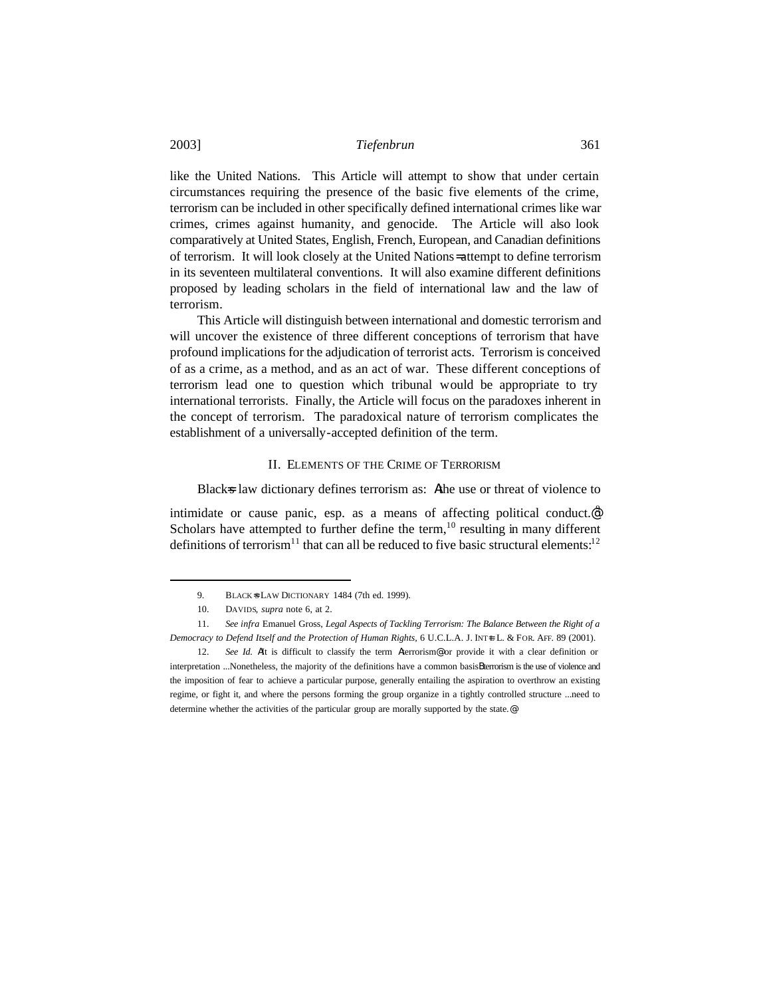like the United Nations. This Article will attempt to show that under certain circumstances requiring the presence of the basic five elements of the crime, terrorism can be included in other specifically defined international crimes like war crimes, crimes against humanity, and genocide. The Article will also look comparatively at United States, English, French, European, and Canadian definitions of terrorism. It will look closely at the United Nations= attempt to define terrorism in its seventeen multilateral conventions. It will also examine different definitions proposed by leading scholars in the field of international law and the law of terrorism.

This Article will distinguish between international and domestic terrorism and will uncover the existence of three different conceptions of terrorism that have profound implications for the adjudication of terrorist acts. Terrorism is conceived of as a crime, as a method, and as an act of war. These different conceptions of terrorism lead one to question which tribunal would be appropriate to try international terrorists. Finally, the Article will focus on the paradoxes inherent in the concept of terrorism. The paradoxical nature of terrorism complicates the establishment of a universally-accepted definition of the term.

#### II. ELEMENTS OF THE CRIME OF TERRORISM

Black=s law dictionary defines terrorism as: Athe use or threat of violence to

intimidate or cause panic, esp. as a means of affecting political conduct. $e^{\theta}$ Scholars have attempted to further define the term, $10$  resulting in many different definitions of terrorism<sup>11</sup> that can all be reduced to five basic structural elements:<sup>12</sup>

<sup>9.</sup> BLACK=S LAW DICTIONARY 1484 (7th ed. 1999).

<sup>10.</sup> DAVIDS, *supra* note 6, at 2.

<sup>11.</sup> *See infra* Emanuel Gross, *Legal Aspects of Tackling Terrorism: The Balance Between the Right of a Democracy to Defend Itself and the Protection of Human Rights,* 6 U.C.L.A. J. INT=L L. & FOR. AFF. 89 (2001).

<sup>12.</sup> *See Id.* AIt is difficult to classify the term Aterrorism® or provide it with a clear definition or interpretation ...Nonetheless, the majority of the definitions have a common basisBterrorism is the use of violence and the imposition of fear to achieve a particular purpose, generally entailing the aspiration to overthrow an existing regime, or fight it, and where the persons forming the group organize in a tightly controlled structure ...need to determine whether the activities of the particular group are morally supported by the state.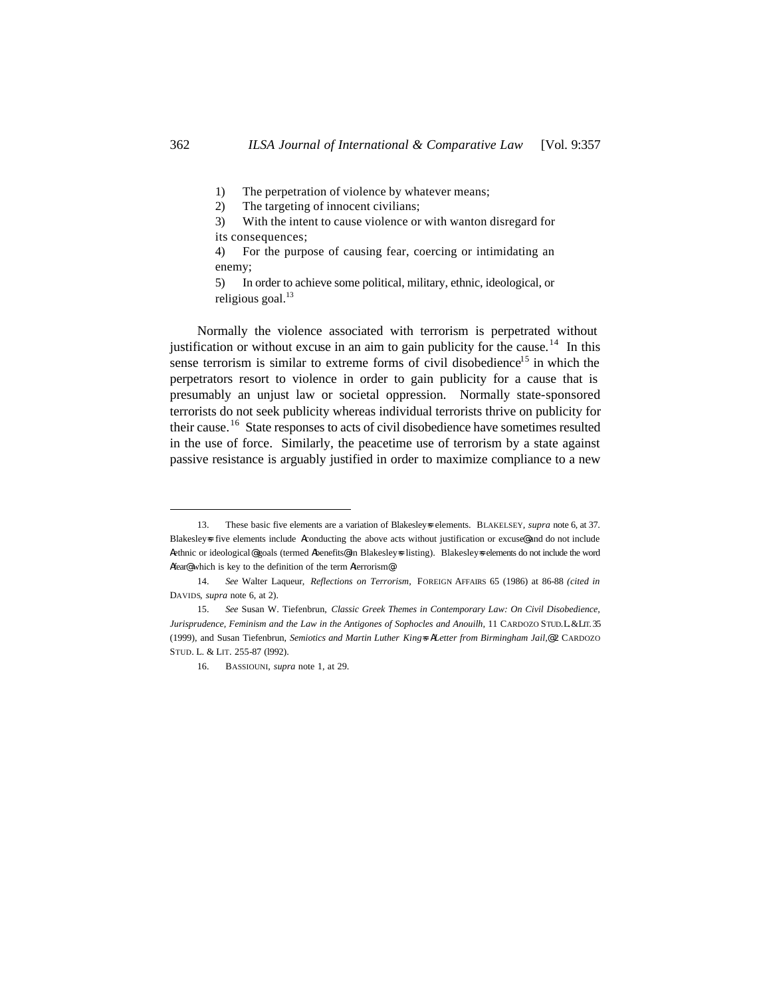1) The perpetration of violence by whatever means;

2) The targeting of innocent civilians;

3) With the intent to cause violence or with wanton disregard for its consequences;

4) For the purpose of causing fear, coercing or intimidating an enemy;

5) In order to achieve some political, military, ethnic, ideological, or religious goal. $^{13}$ 

Normally the violence associated with terrorism is perpetrated without justification or without excuse in an aim to gain publicity for the cause.<sup>14</sup> In this sense terrorism is similar to extreme forms of civil disobedience<sup>15</sup> in which the perpetrators resort to violence in order to gain publicity for a cause that is presumably an unjust law or societal oppression. Normally state-sponsored terrorists do not seek publicity whereas individual terrorists thrive on publicity for their cause.<sup>16</sup> State responses to acts of civil disobedience have sometimes resulted in the use of force. Similarly, the peacetime use of terrorism by a state against passive resistance is arguably justified in order to maximize compliance to a new

<sup>13.</sup> These basic five elements are a variation of Blakesleys elements. BLAKELSEY, *supra* note 6, at 37. Blakesleys five elements include Aconducting the above acts without justification or excuse@ and do not include Aethnic or ideological@ goals (termed Abenefits@ in Blakesley=s listing). Blakesley=s elements do not include the word Afear@ which is key to the definition of the term Aterrorism@.

<sup>14.</sup> *See* Walter Laqueur, *Reflections on Terrorism,* FOREIGN AFFAIRS 65 (1986) at 86-88 *(cited in*  DAVIDS, *supra* note 6, at 2).

<sup>15.</sup> *See* Susan W. Tiefenbrun, *Classic Greek Themes in Contemporary Law: On Civil Disobedience, Jurisprudence, Feminism and the Law in the Antigones of Sophocles and Anouilh,* 11 CARDOZO STUD.L.&LIT. 35 (1999), and Susan Tiefenbrun, *Semiotics and Martin Luther King=s ALetter from Birmingham Jail,@* 2 CARDOZO STUD. L. & LIT. 255-87 (l992).

<sup>16.</sup> BASSIOUNI, *supra* note 1, at 29.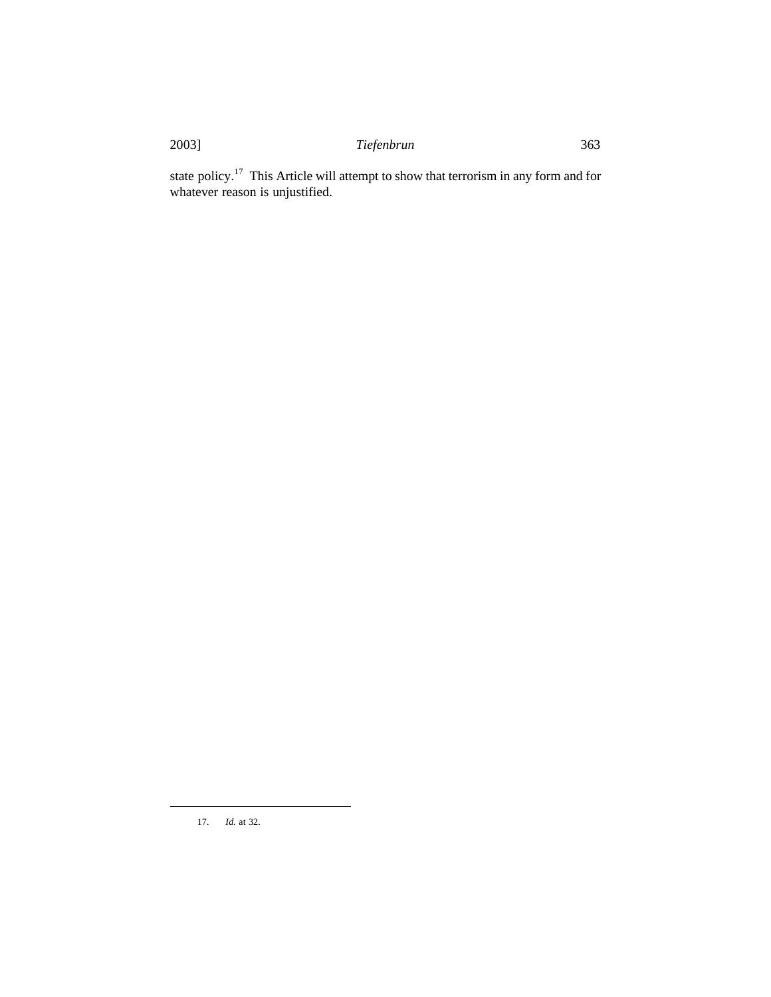state policy.<sup>17</sup> This Article will attempt to show that terrorism in any form and for whatever reason is unjustified.

17. *Id.* at 32.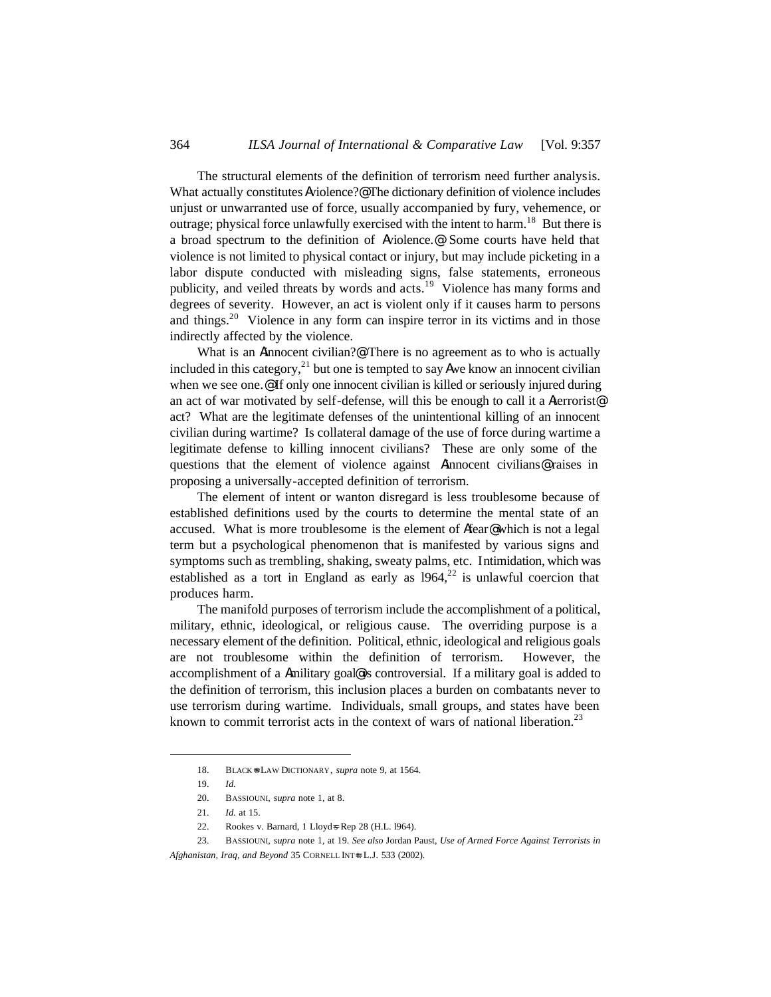The structural elements of the definition of terrorism need further analysis. What actually constitutes Aviolence?<sup>@</sup> The dictionary definition of violence includes unjust or unwarranted use of force, usually accompanied by fury, vehemence, or outrage; physical force unlawfully exercised with the intent to harm.<sup>18</sup> But there is a broad spectrum to the definition of Aviolence.@ Some courts have held that violence is not limited to physical contact or injury, but may include picketing in a labor dispute conducted with misleading signs, false statements, erroneous publicity, and veiled threats by words and acts.<sup>19</sup> Violence has many forms and degrees of severity. However, an act is violent only if it causes harm to persons and things.<sup>20</sup> Violence in any form can inspire terror in its victims and in those indirectly affected by the violence.

What is an Ainnocent civilian?@ There is no agreement as to who is actually included in this category,<sup>21</sup> but one is tempted to say **A**we know an innocent civilian when we see one.<sup>®</sup> If only one innocent civilian is killed or seriously injured during an act of war motivated by self-defense, will this be enough to call it a Aterrorist@ act? What are the legitimate defenses of the unintentional killing of an innocent civilian during wartime? Is collateral damage of the use of force during wartime a legitimate defense to killing innocent civilians? These are only some of the questions that the element of violence against Ainnocent civilians@ raises in proposing a universally-accepted definition of terrorism.

The element of intent or wanton disregard is less troublesome because of established definitions used by the courts to determine the mental state of an accused. What is more troublesome is the element of Afear@ which is not a legal term but a psychological phenomenon that is manifested by various signs and symptoms such as trembling, shaking, sweaty palms, etc. Intimidation, which was established as a tort in England as early as  $1964$ ,<sup>22</sup> is unlawful coercion that produces harm.

The manifold purposes of terrorism include the accomplishment of a political, military, ethnic, ideological, or religious cause. The overriding purpose is a necessary element of the definition. Political, ethnic, ideological and religious goals are not troublesome within the definition of terrorism. However, the accomplishment of a Amilitary goal@ is controversial. If a military goal is added to the definition of terrorism, this inclusion places a burden on combatants never to use terrorism during wartime. Individuals, small groups, and states have been known to commit terrorist acts in the context of wars of national liberation.<sup>23</sup>

<sup>18.</sup> BLACK=S LAW DICTIONARY, *supra* note 9, at 1564.

<sup>19.</sup> *Id.*

<sup>20.</sup> BASSIOUNI, *supra* note 1, at 8.

<sup>21.</sup> *Id.* at 15.

<sup>22.</sup> Rookes v. Barnard, 1 Lloyd=s Rep 28 (H.L. l964).

<sup>23.</sup> BASSIOUNI, *supra* note 1, at 19. *See also* Jordan Paust, *Use of Armed Force Against Terrorists in Afghanistan, Iraq, and Beyond* 35 CORNELL INT+ L.J. 533 (2002).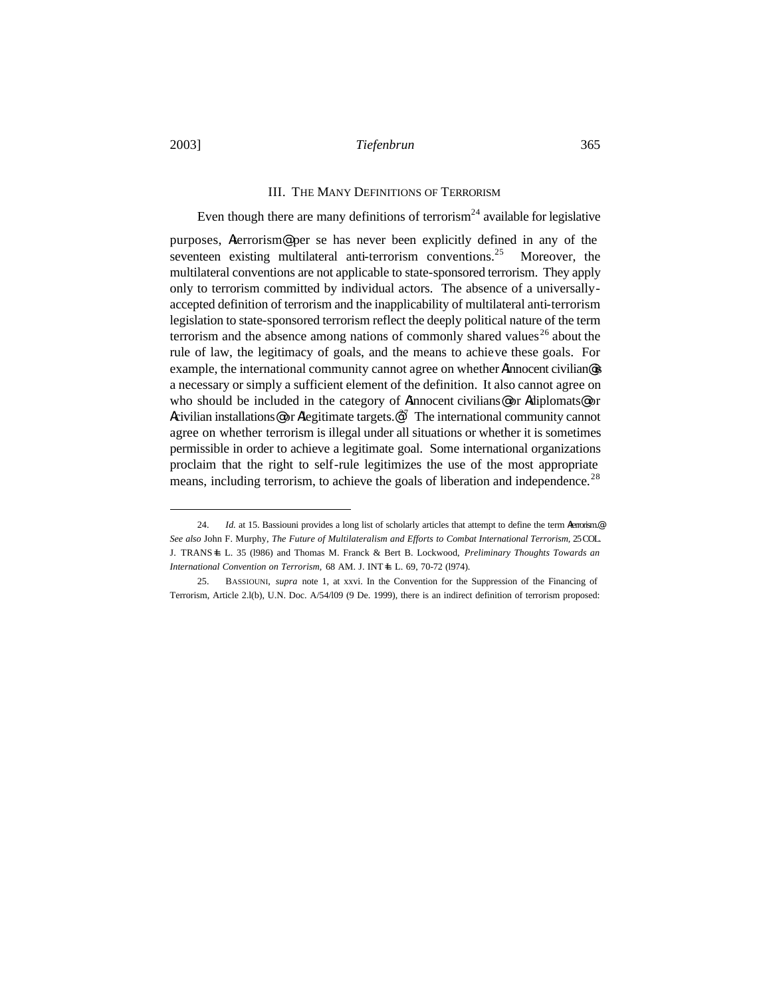#### III. THE MANY DEFINITIONS OF TERRORISM

# Even though there are many definitions of terrorism<sup>24</sup> available for legislative

purposes, Aterrorism@ per se has never been explicitly defined in any of the seventeen existing multilateral anti-terrorism conventions.<sup>25</sup> Moreover, the multilateral conventions are not applicable to state-sponsored terrorism. They apply only to terrorism committed by individual actors. The absence of a universallyaccepted definition of terrorism and the inapplicability of multilateral anti-terrorism legislation to state-sponsored terrorism reflect the deeply political nature of the term terrorism and the absence among nations of commonly shared values<sup>26</sup> about the rule of law, the legitimacy of goals, and the means to achieve these goals. For example, the international community cannot agree on whether Ainnocent civilian@is a necessary or simply a sufficient element of the definition. It also cannot agree on who should be included in the category of Ainnocent civilians@ or Adiplomats@ or Acivilian installations@ or Alegitimate targets. $e^{27}$  The international community cannot agree on whether terrorism is illegal under all situations or whether it is sometimes permissible in order to achieve a legitimate goal. Some international organizations proclaim that the right to self-rule legitimizes the use of the most appropriate means, including terrorism, to achieve the goals of liberation and independence.<sup>28</sup>

<sup>24.</sup> *Id.* at 15. Bassiouni provides a long list of scholarly articles that attempt to define the term *Merrorism*.@ *See also* John F. Murphy, *The Future of Multilateralism and Efforts to Combat International Terrorism,* 25 COL. J. TRANS=L L. 35 (l986) and Thomas M. Franck & Bert B. Lockwood, *Preliminary Thoughts Towards an International Convention on Terrorism,* 68 AM. J. INT+L L. 69, 70-72 (1974).

<sup>25.</sup> BASSIOUNI, *supra* note 1, at xxvi. In the Convention for the Suppression of the Financing of Terrorism, Article 2.l(b), U.N. Doc. A/54/l09 (9 De. 1999), there is an indirect definition of terrorism proposed: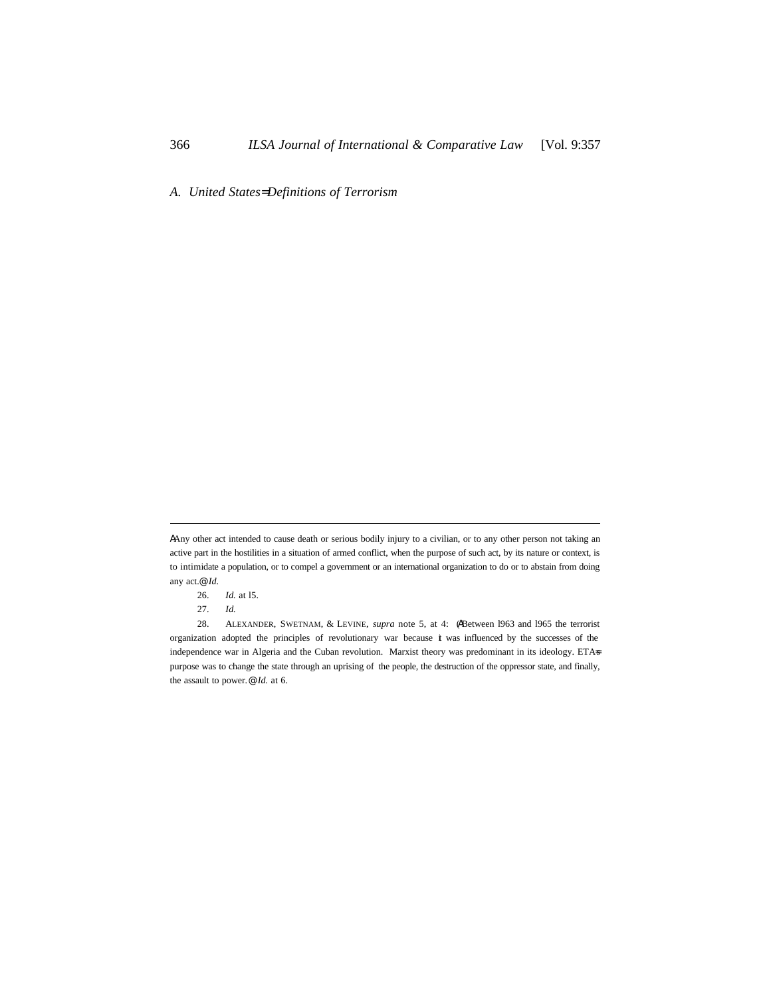*A. United States= Definitions of Terrorism*

AAny other act intended to cause death or serious bodily injury to a civilian, or to any other person not taking an active part in the hostilities in a situation of armed conflict, when the purpose of such act, by its nature or context, is to intimidate a population, or to compel a government or an international organization to do or to abstain from doing any act.@ *Id.*

<sup>26.</sup> *Id.* at l5.

<sup>27.</sup> *Id.*

<sup>28.</sup> ALEXANDER, SWETNAM, & LEVINE, *supra* note 5, at 4: (ABetween l963 and l965 the terrorist organization adopted the principles of revolutionary war because it was influenced by the successes of the independence war in Algeria and the Cuban revolution. Marxist theory was predominant in its ideology. ETAs purpose was to change the state through an uprising of the people, the destruction of the oppressor state, and finally, the assault to power.@ *Id.* at 6.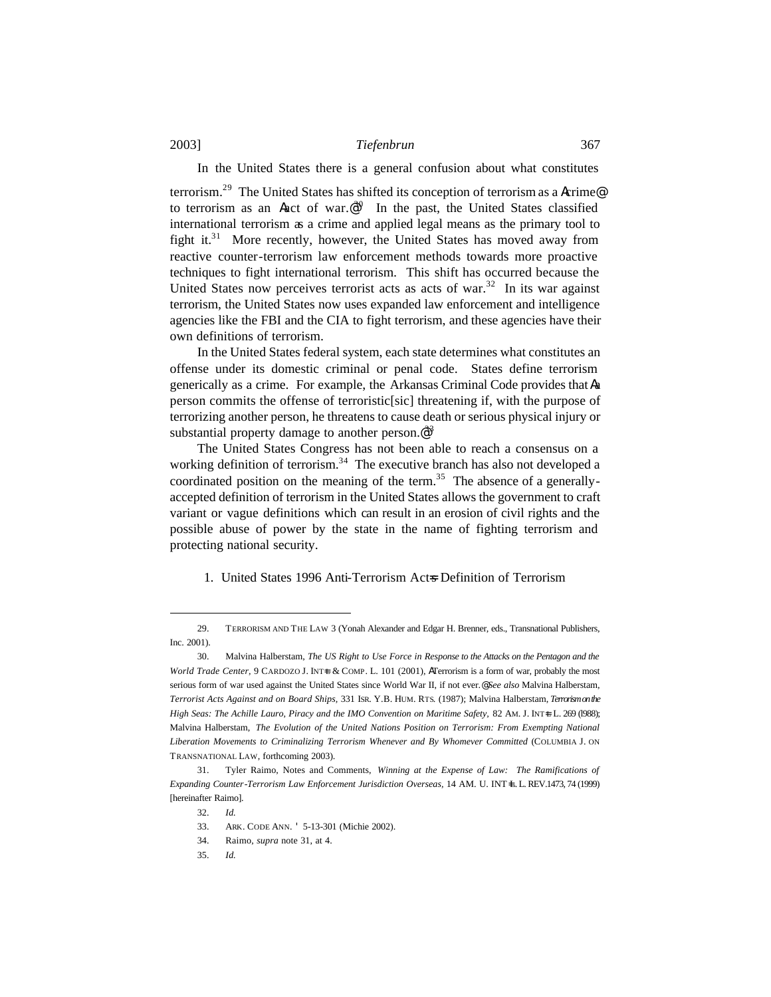### In the United States there is a general confusion about what constitutes

terrorism.<sup>29</sup> The United States has shifted its conception of terrorism as a Acrime@ to terrorism as an Aact of war. $\mathbb{P}^{30}$  In the past, the United States classified international terrorism as a crime and applied legal means as the primary tool to fight it. $31$  More recently, however, the United States has moved away from reactive counter-terrorism law enforcement methods towards more proactive techniques to fight international terrorism. This shift has occurred because the United States now perceives terrorist acts as acts of war.<sup>32</sup> In its war against terrorism, the United States now uses expanded law enforcement and intelligence agencies like the FBI and the CIA to fight terrorism, and these agencies have their own definitions of terrorism.

In the United States federal system, each state determines what constitutes an offense under its domestic criminal or penal code. States define terrorism generically as a crime. For example, the Arkansas Criminal Code provides that Aa person commits the offense of terroristic[sic] threatening if, with the purpose of terrorizing another person, he threatens to cause death or serious physical injury or substantial property damage to another person.<sup>@33</sup>

The United States Congress has not been able to reach a consensus on a working definition of terrorism.<sup>34</sup> The executive branch has also not developed a coordinated position on the meaning of the term.<sup>35</sup> The absence of a generallyaccepted definition of terrorism in the United States allows the government to craft variant or vague definitions which can result in an erosion of civil rights and the possible abuse of power by the state in the name of fighting terrorism and protecting national security.

#### 1. United States 1996 Anti-Terrorism Acts Definition of Terrorism

<sup>29.</sup> TERRORISM AND THE LAW 3 (Yonah Alexander and Edgar H. Brenner, eds., Transnational Publishers, Inc. 2001).

<sup>30.</sup> Malvina Halberstam, *The US Right to Use Force in Response to the Attacks on the Pentagon and the World Trade Center, 9 CARDOZO J. INT+L & COMP. L. 101 (2001), ATerrorism is a form of war, probably the most* serious form of war used against the United States since World War II, if not ever.@ *See also* Malvina Halberstam, *Terrorist Acts Against and on Board Ships,* 331 ISR. Y.B. HUM. RTS. (1987); Malvina Halberstam, *Terrorism on the High Seas: The Achille Lauro, Piracy and the IMO Convention on Maritime Safety, 82 AM. J. INT+L L. 269 (1988);* Malvina Halberstam, *The Evolution of the United Nations Position on Terrorism: From Exempting National Liberation Movements to Criminalizing Terrorism Whenever and By Whomever Committed* (COLUMBIA J. ON TRANSNATIONAL LAW, forthcoming 2003).

<sup>31.</sup> Tyler Raimo, Notes and Comments, *Winning at the Expense of Law: The Ramifications of Expanding Counter-Terrorism Law Enforcement Jurisdiction Overseas,* 14 AM. U. INT=L. L. REV.1473, 74 (1999) [hereinafter Raimo].

<sup>32.</sup> *Id.*

<sup>33.</sup> ARK. CODE ANN. ' 5-13-301 (Michie 2002).

<sup>34.</sup> Raimo, *supra* note 31, at 4.

<sup>35.</sup> *Id.*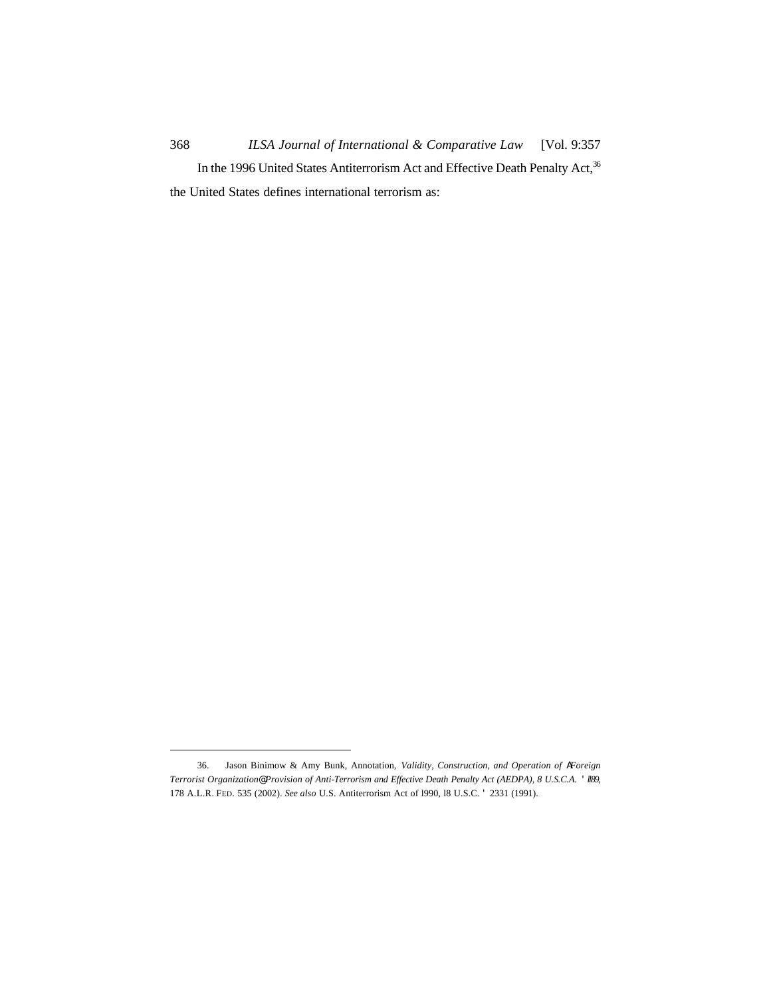368 *ILSA Journal of International & Comparative Law* [Vol. 9:357 In the 1996 United States Antiterrorism Act and Effective Death Penalty Act,<sup>36</sup> the United States defines international terrorism as:

<sup>36.</sup> Jason Binimow & Amy Bunk, Annotation, *Validity, Construction, and Operation of AForeign Terrorist Organization@ Provision of Anti-Terrorism and Effective Death Penalty Act (AEDPA), 8 U.S.C.A.* ' *ll89*, 178 A.L.R. FED. 535 (2002). *See also* U.S. Antiterrorism Act of l990, l8 U.S.C. ' 2331 (1991).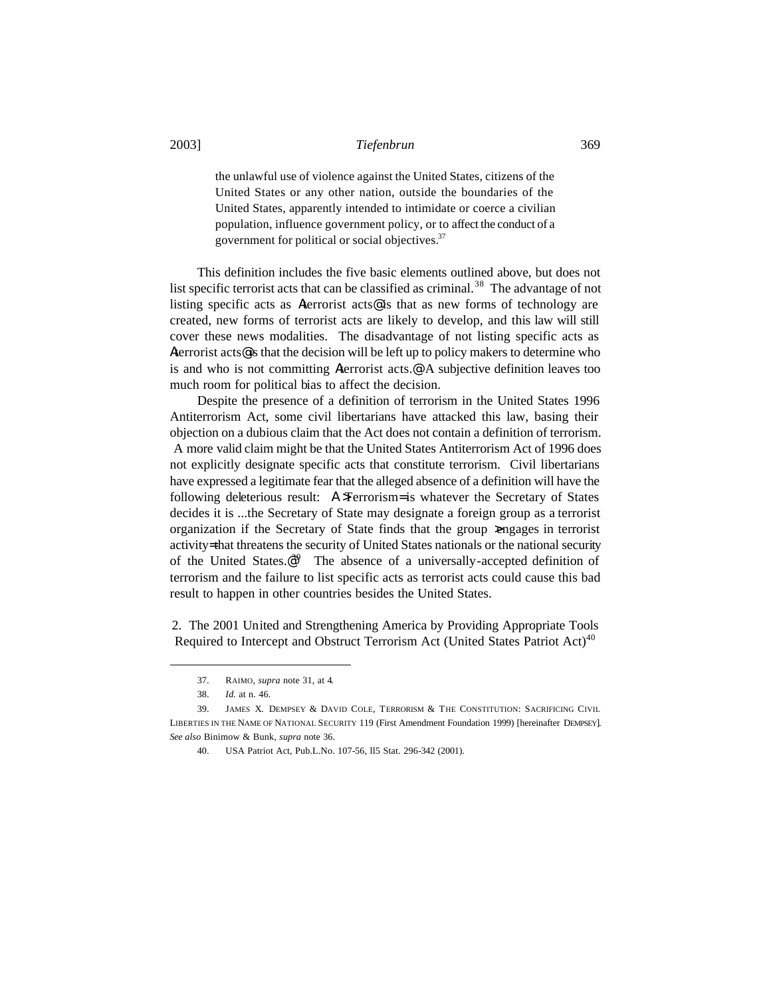the unlawful use of violence against the United States, citizens of the United States or any other nation, outside the boundaries of the United States, apparently intended to intimidate or coerce a civilian population, influence government policy, or to affect the conduct of a government for political or social objectives.<sup>37</sup>

This definition includes the five basic elements outlined above, but does not list specific terrorist acts that can be classified as criminal.<sup>38</sup> The advantage of not listing specific acts as Aterrorist acts@ is that as new forms of technology are created, new forms of terrorist acts are likely to develop, and this law will still cover these news modalities. The disadvantage of not listing specific acts as Aterrorist acts@is that the decision will be left up to policy makers to determine who is and who is not committing Aterrorist acts.@ A subjective definition leaves too much room for political bias to affect the decision.

Despite the presence of a definition of terrorism in the United States 1996 Antiterrorism Act, some civil libertarians have attacked this law, basing their objection on a dubious claim that the Act does not contain a definition of terrorism. A more valid claim might be that the United States Antiterrorism Act of 1996 does not explicitly designate specific acts that constitute terrorism. Civil libertarians have expressed a legitimate fear that the alleged absence of a definition will have the following deleterious result: A >Terrorism= is whatever the Secretary of States decides it is ...the Secretary of State may designate a foreign group as a terrorist organization if the Secretary of State finds that the group  $\geq$ ngages in terrorist activity= that threatens the security of United States nationals or the national security of the United States. $e^{i\theta}$  The absence of a universally-accepted definition of terrorism and the failure to list specific acts as terrorist acts could cause this bad result to happen in other countries besides the United States.

2. The 2001 United and Strengthening America by Providing Appropriate Tools Required to Intercept and Obstruct Terrorism Act (United States Patriot Act)<sup>40</sup>

<sup>37.</sup> RAIMO*, supra* note 31, at 4*.*

<sup>38.</sup> *Id.* at n. 46.

<sup>39.</sup> JAMES X. DEMPSEY & DAVID COLE, TERRORISM & THE CONSTITUTION: SACRIFICING CIVIL LIBERTIES IN THE NAME OF NATIONAL SECURITY 119 (First Amendment Foundation 1999) [hereinafter DEMPSEY]. *See also* Binimow & Bunk, *supra* note 36.

<sup>40.</sup> USA Patriot Act, Pub.L.No. 107-56, ll5 Stat. 296-342 (2001).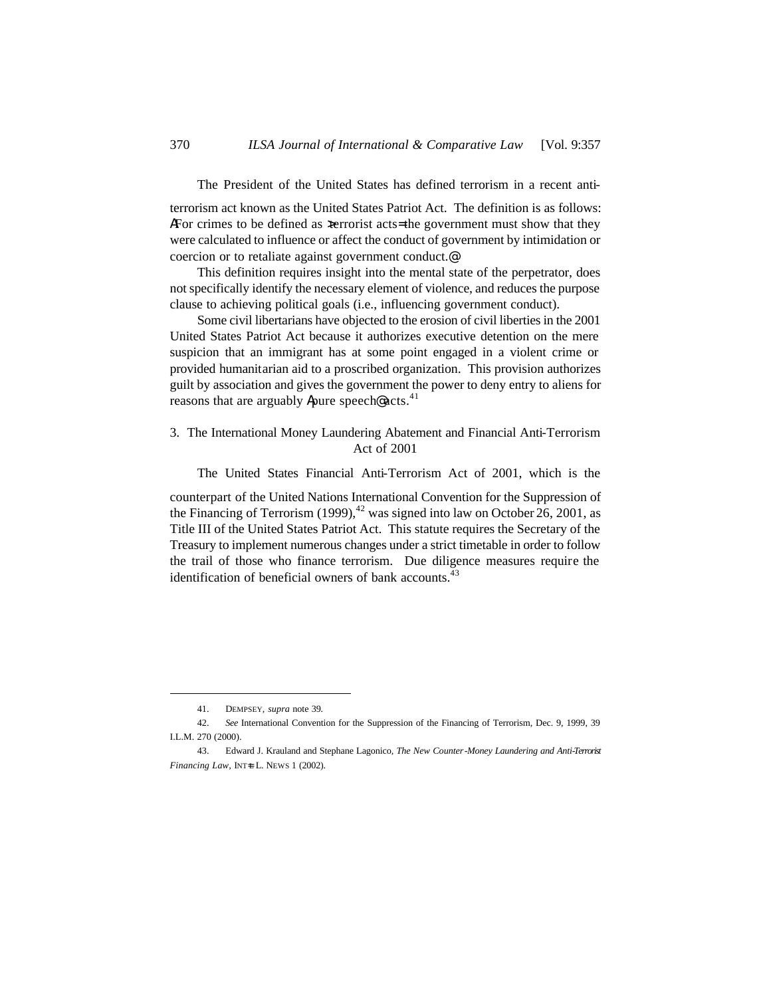The President of the United States has defined terrorism in a recent anti-

terrorism act known as the United States Patriot Act. The definition is as follows: AFor crimes to be defined as  $x$  terrorist acts= the government must show that they were calculated to influence or affect the conduct of government by intimidation or coercion or to retaliate against government conduct.@

This definition requires insight into the mental state of the perpetrator, does not specifically identify the necessary element of violence, and reduces the purpose clause to achieving political goals (i.e., influencing government conduct).

Some civil libertarians have objected to the erosion of civil liberties in the 2001 United States Patriot Act because it authorizes executive detention on the mere suspicion that an immigrant has at some point engaged in a violent crime or provided humanitarian aid to a proscribed organization. This provision authorizes guilt by association and gives the government the power to deny entry to aliens for reasons that are arguably Apure speech@ acts. $41$ 

# 3. The International Money Laundering Abatement and Financial Anti-Terrorism Act of 2001

The United States Financial Anti-Terrorism Act of 2001, which is the

counterpart of the United Nations International Convention for the Suppression of the Financing of Terrorism  $(1999)$ ,<sup>42</sup> was signed into law on October 26, 2001, as Title III of the United States Patriot Act. This statute requires the Secretary of the Treasury to implement numerous changes under a strict timetable in order to follow the trail of those who finance terrorism. Due diligence measures require the identification of beneficial owners of bank accounts. $43$ 

<sup>41.</sup> DEMPSEY, *supra* note 39*.*

<sup>42.</sup> *See* International Convention for the Suppression of the Financing of Terrorism, Dec. 9, 1999, 39 I.L.M. 270 (2000).

<sup>43.</sup> Edward J. Krauland and Stephane Lagonico, *The New Counter-Money Laundering and Anti-Terrorist Financing Law*, INT<sup>+</sup>L. NEWS 1 (2002).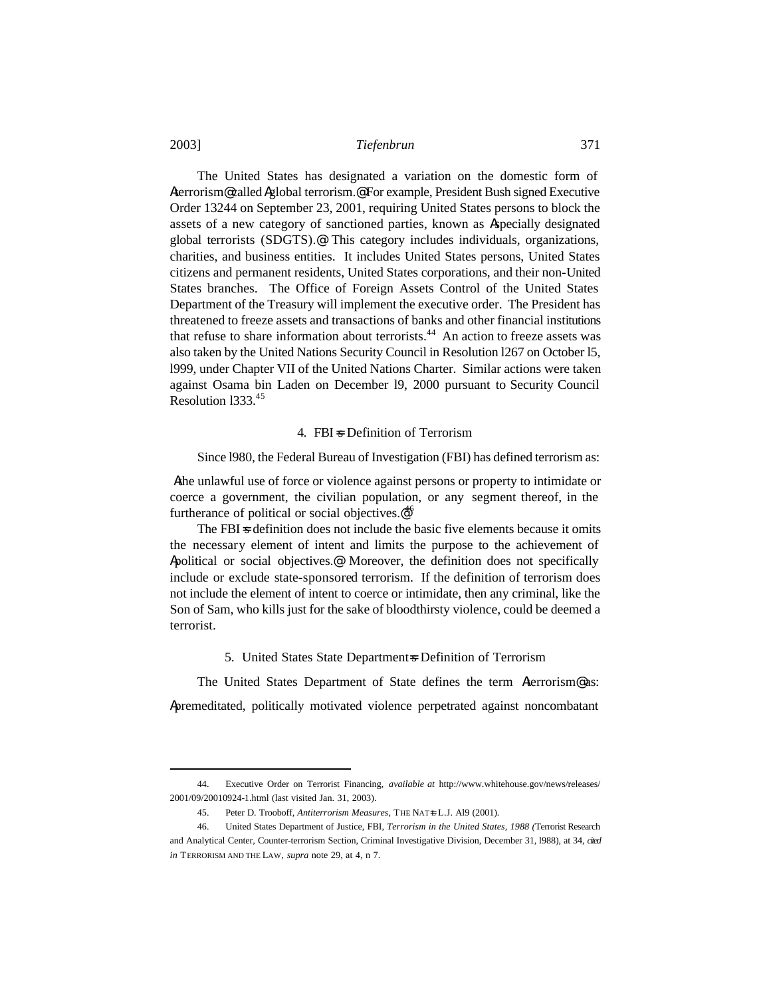The United States has designated a variation on the domestic form of Aterrorism@ called Aglobal terrorism.@ For example, President Bush signed Executive Order 13244 on September 23, 2001, requiring United States persons to block the assets of a new category of sanctioned parties, known as Aspecially designated global terrorists (SDGTS).@ This category includes individuals, organizations, charities, and business entities. It includes United States persons, United States citizens and permanent residents, United States corporations, and their non-United States branches. The Office of Foreign Assets Control of the United States Department of the Treasury will implement the executive order. The President has threatened to freeze assets and transactions of banks and other financial institutions that refuse to share information about terrorists.<sup>44</sup> An action to freeze assets was also taken by the United Nations Security Council in Resolution l267 on October l5, l999, under Chapter VII of the United Nations Charter. Similar actions were taken against Osama bin Laden on December l9, 2000 pursuant to Security Council Resolution l333.<sup>45</sup>

### 4. FBI = Definition of Terrorism

Since l980, the Federal Bureau of Investigation (FBI) has defined terrorism as:

Athe unlawful use of force or violence against persons or property to intimidate or coerce a government, the civilian population, or any segment thereof, in the furtherance of political or social objectives. $e^{46}$ 

The FBI $\approx$  definition does not include the basic five elements because it omits the necessary element of intent and limits the purpose to the achievement of Apolitical or social objectives.@ Moreover, the definition does not specifically include or exclude state-sponsored terrorism. If the definition of terrorism does not include the element of intent to coerce or intimidate, then any criminal, like the Son of Sam, who kills just for the sake of bloodthirsty violence, could be deemed a terrorist.

5. United States State Department=s Definition of Terrorism

The United States Department of State defines the term Aterrorism<sup>®</sup> as: Apremeditated, politically motivated violence perpetrated against noncombatant

<sup>44.</sup> Executive Order on Terrorist Financing, *available at* http://www.whitehouse.gov/news/releases/ 2001/09/20010924-1.html (last visited Jan. 31, 2003).

<sup>45.</sup> Peter D. Trooboff, *Antiterrorism Measures*, THE NATL L.J. Al9 (2001).

<sup>46.</sup> United States Department of Justice, FBI, *Terrorism in the United States, 1988 (*Terrorist Research and Analytical Center, Counter-terrorism Section, Criminal Investigative Division, December 31, l988), at 34, *cited in* TERRORISM AND THE LAW, *supra* note 29, at 4, n 7.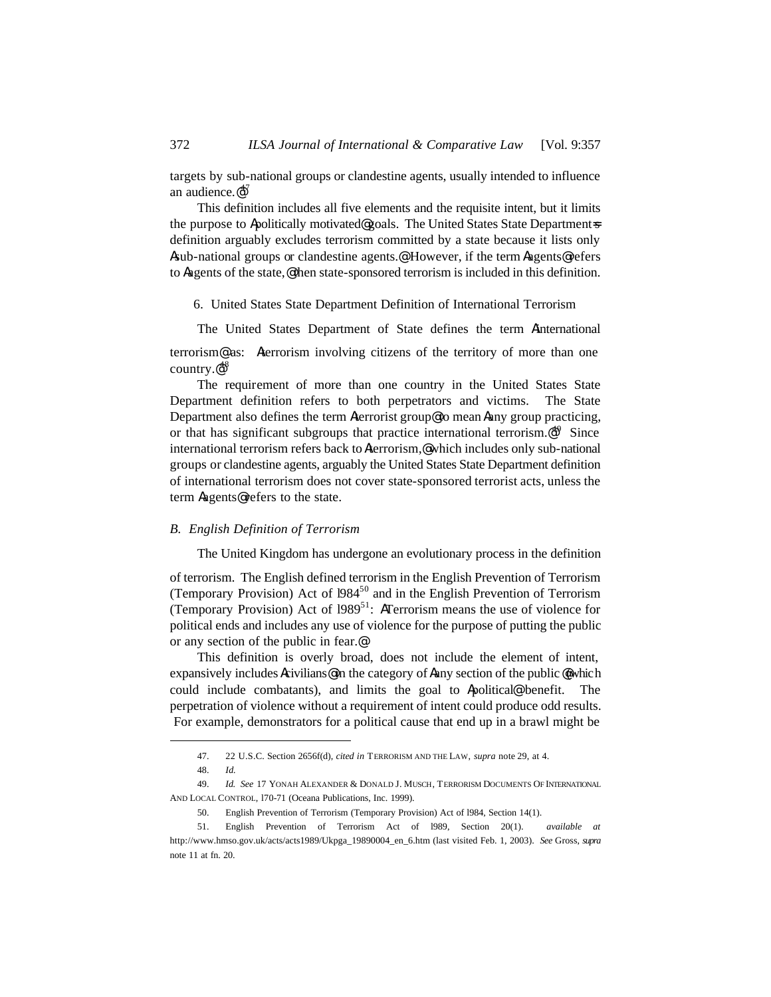targets by sub-national groups or clandestine agents, usually intended to influence an audience. $\mathbf{e}^{47}$ 

This definition includes all five elements and the requisite intent, but it limits the purpose to Apolitically motivated@goals. The United States State Department=s definition arguably excludes terrorism committed by a state because it lists only Asub-national groups or clandestine agents.@ However, if the term Aagents@ refers to Aagents of the state,@ then state-sponsored terrorism is included in this definition.

6. United States State Department Definition of International Terrorism

The United States Department of State defines the term Ainternational

terrorism@ as: Aterrorism involving citizens of the territory of more than one country.@ 48

The requirement of more than one country in the United States State Department definition refers to both perpetrators and victims. The State Department also defines the term Aterrorist group@ to mean Aany group practicing, or that has significant subgroups that practice international terrorism.<sup>@49</sup> Since international terrorism refers back to Aterrorism,@ which includes only sub-national groups or clandestine agents, arguably the United States State Department definition of international terrorism does not cover state-sponsored terrorist acts, unless the term Aagents@ refers to the state.

#### *B. English Definition of Terrorism*

The United Kingdom has undergone an evolutionary process in the definition

of terrorism. The English defined terrorism in the English Prevention of Terrorism (Temporary Provision) Act of 1984<sup>50</sup> and in the English Prevention of Terrorism (Temporary Provision) Act of  $1989^{51}$ : ATerrorism means the use of violence for political ends and includes any use of violence for the purpose of putting the public or any section of the public in fear.@

This definition is overly broad, does not include the element of intent, expansively includes Acivilians@in the category of Aany section of the public @which could include combatants), and limits the goal to Apolitical@ benefit. The perpetration of violence without a requirement of intent could produce odd results. For example, demonstrators for a political cause that end up in a brawl might be

<sup>47.</sup> 22 U.S.C. Section 2656f(d), *cited in* TERRORISM AND THE LAW, *supra* note 29, at 4.

<sup>48.</sup> *Id.*

<sup>49.</sup> *Id. See* 17 YONAH ALEXANDER & DONALD J. MUSCH, TERRORISM DOCUMENTS OF INTERNATIONAL AND LOCAL CONTROL, l70-71 (Oceana Publications, Inc. 1999).

<sup>50.</sup> English Prevention of Terrorism (Temporary Provision) Act of l984, Section 14(1).

<sup>51.</sup> English Prevention of Terrorism Act of l989, Section 20(1). *available at* http://www.hmso.gov.uk/acts/acts1989/Ukpga\_19890004\_en\_6.htm (last visited Feb. 1, 2003). *See* Gross, *supra*  note 11 at fn. 20.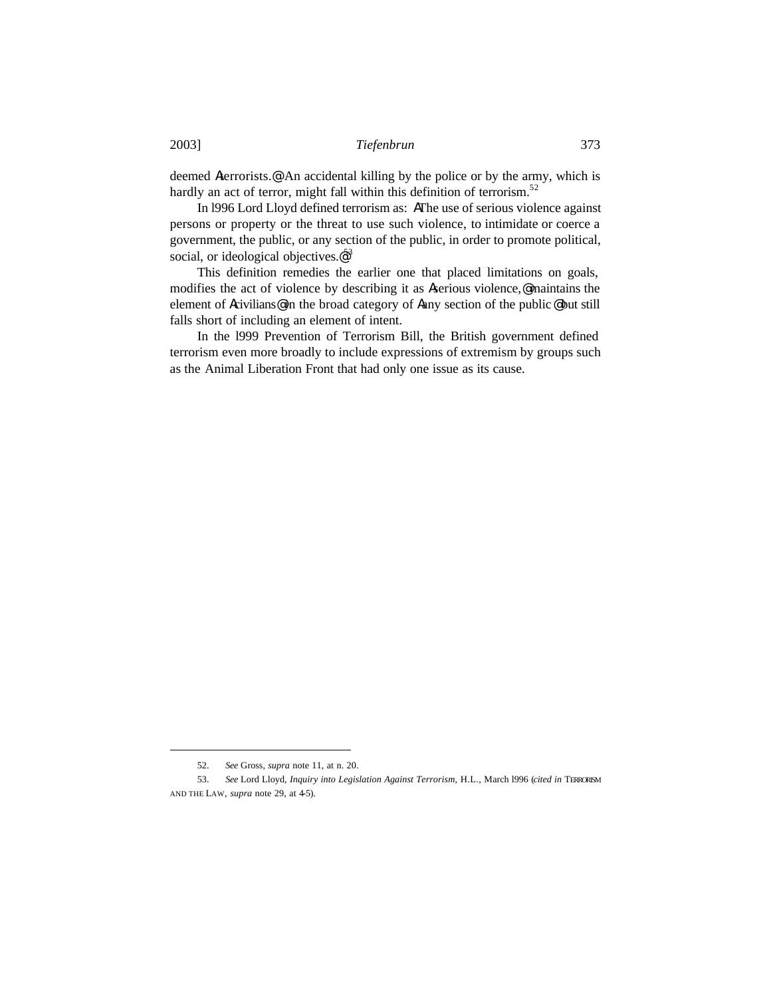deemed Aterrorists.@ An accidental killing by the police or by the army, which is hardly an act of terror, might fall within this definition of terrorism.<sup>52</sup>

In l996 Lord Lloyd defined terrorism as: AThe use of serious violence against persons or property or the threat to use such violence, to intimidate or coerce a government, the public, or any section of the public, in order to promote political, social, or ideological objectives.<sup>@53</sup>

This definition remedies the earlier one that placed limitations on goals, modifies the act of violence by describing it as Aserious violence,@ maintains the element of Acivilians@ in the broad category of Aany section of the public @ but still falls short of including an element of intent.

In the l999 Prevention of Terrorism Bill, the British government defined terrorism even more broadly to include expressions of extremism by groups such as the Animal Liberation Front that had only one issue as its cause.

<sup>52.</sup> *See* Gross, *supra* note 11, at n. 20.

<sup>53.</sup> *See* Lord Lloyd, *Inquiry into Legislation Against Terrorism*, H.L., March l996 (*cited in* TERRORISM AND THE LAW, *supra* note 29, at 4-5).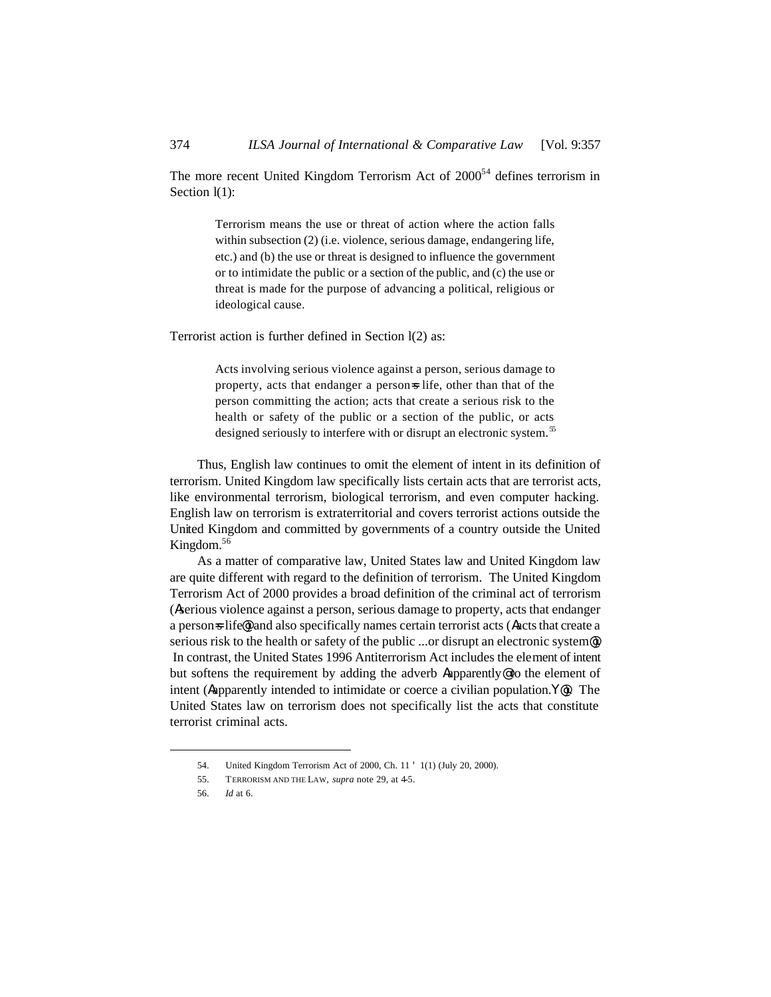The more recent United Kingdom Terrorism Act of  $2000<sup>54</sup>$  defines terrorism in Section  $l(1)$ :

> Terrorism means the use or threat of action where the action falls within subsection (2) (i.e. violence, serious damage, endangering life, etc.) and (b) the use or threat is designed to influence the government or to intimidate the public or a section of the public, and (c) the use or threat is made for the purpose of advancing a political, religious or ideological cause.

Terrorist action is further defined in Section l(2) as:

Acts involving serious violence against a person, serious damage to property, acts that endanger a person=s life, other than that of the person committing the action; acts that create a serious risk to the health or safety of the public or a section of the public, or acts designed seriously to interfere with or disrupt an electronic system.<sup>55</sup>

Thus, English law continues to omit the element of intent in its definition of terrorism. United Kingdom law specifically lists certain acts that are terrorist acts, like environmental terrorism, biological terrorism, and even computer hacking. English law on terrorism is extraterritorial and covers terrorist actions outside the United Kingdom and committed by governments of a country outside the United Kingdom.<sup>56</sup>

As a matter of comparative law, United States law and United Kingdom law are quite different with regard to the definition of terrorism. The United Kingdom Terrorism Act of 2000 provides a broad definition of the criminal act of terrorism (Aserious violence against a person, serious damage to property, acts that endanger a person-s life<sup>o</sup>) and also specifically names certain terrorist acts (Aacts that create a serious risk to the health or safety of the public ...or disrupt an electronic system@). In contrast, the United States 1996 Antiterrorism Act includes the element of intent but softens the requirement by adding the adverb Aapparently@ to the element of intent (Aapparently intended to intimidate or coerce a civilian population.Y@). The United States law on terrorism does not specifically list the acts that constitute terrorist criminal acts.

<sup>54.</sup> United Kingdom Terrorism Act of 2000, Ch. 11 ' 1(1) (July 20, 2000).

<sup>55.</sup> TERRORISM AND THE LAW, *supra* note 29, at 4-5.

<sup>56.</sup> *Id* at 6.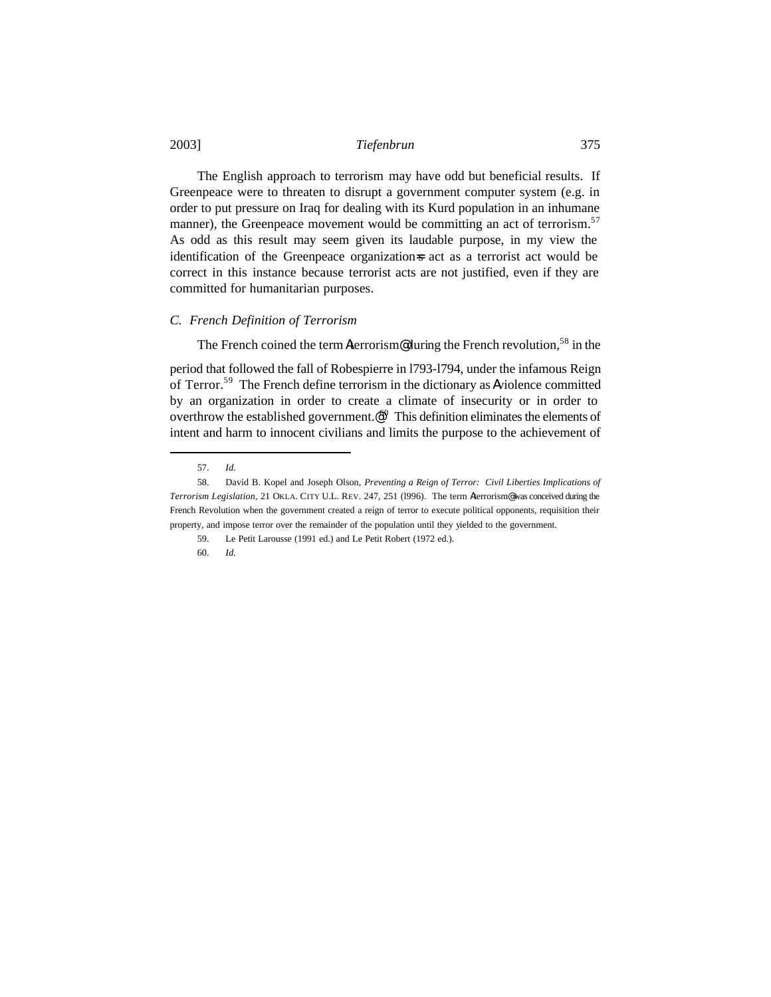The English approach to terrorism may have odd but beneficial results. If Greenpeace were to threaten to disrupt a government computer system (e.g. in order to put pressure on Iraq for dealing with its Kurd population in an inhumane manner), the Greenpeace movement would be committing an act of terrorism.<sup>57</sup> As odd as this result may seem given its laudable purpose, in my view the identification of the Greenpeace organization=s act as a terrorist act would be correct in this instance because terrorist acts are not justified, even if they are committed for humanitarian purposes.

#### *C. French Definition of Terrorism*

The French coined the term Aterrorism@during the French revolution,<sup>58</sup> in the

period that followed the fall of Robespierre in l793-l794, under the infamous Reign of Terror.<sup>59</sup> The French define terrorism in the dictionary as Aviolence committed by an organization in order to create a climate of insecurity or in order to overthrow the established government. $\mathcal{O}^0$  This definition eliminates the elements of intent and harm to innocent civilians and limits the purpose to the achievement of

 $\overline{a}$ 

60. *Id.*

<sup>57.</sup> *Id.*

<sup>58.</sup> David B. Kopel and Joseph Olson, *Preventing a Reign of Terror: Civil Liberties Implications of Terrorism Legislation,* 21 OKLA. CITY U.L. REV. 247, 251 (l996). The term Aterrorism@ was conceived during the French Revolution when the government created a reign of terror to execute political opponents, requisition their property, and impose terror over the remainder of the population until they yielded to the government.

<sup>59.</sup> Le Petit Larousse (1991 ed.) and Le Petit Robert (1972 ed.).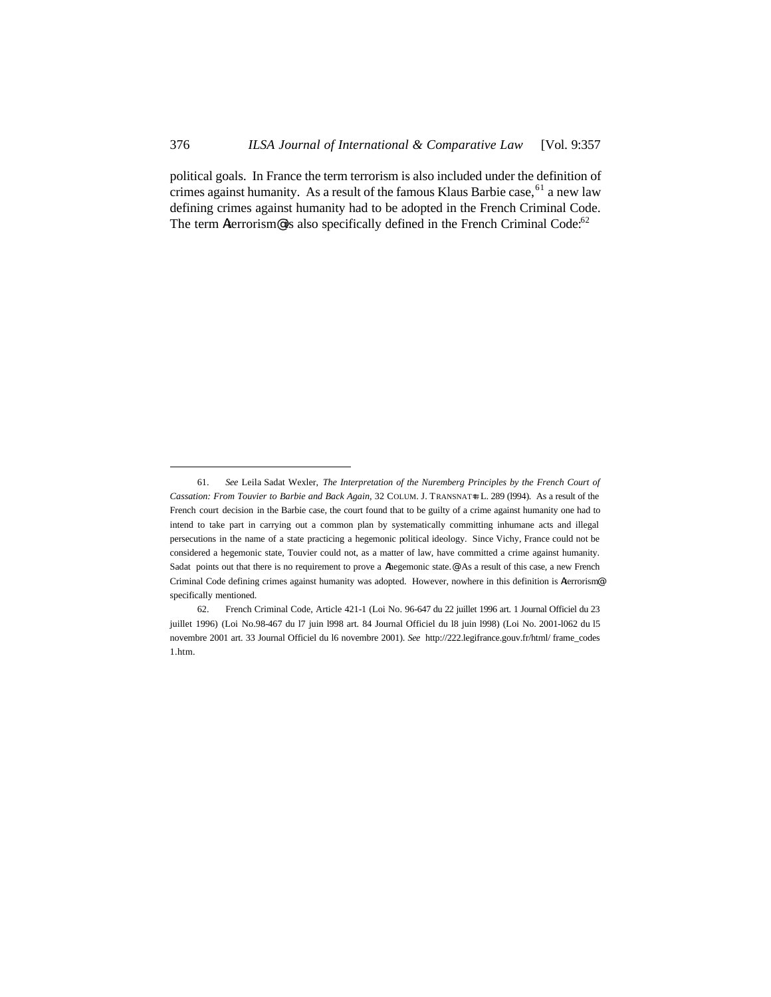political goals. In France the term terrorism is also included under the definition of crimes against humanity. As a result of the famous Klaus Barbie case,  $61$  a new law defining crimes against humanity had to be adopted in the French Criminal Code. The term Aterrorism<sup>®</sup> is also specifically defined in the French Criminal Code:<sup>62</sup>

<sup>61.</sup> *See* Leila Sadat Wexler, *The Interpretation of the Nuremberg Principles by the French Court of Cassation: From Touvier to Barbie and Back Again,* 32 COLUM. J. TRANSNATL L. 289 (1994). As a result of the French court decision in the Barbie case, the court found that to be guilty of a crime against humanity one had to intend to take part in carrying out a common plan by systematically committing inhumane acts and illegal persecutions in the name of a state practicing a hegemonic political ideology. Since Vichy, France could not be considered a hegemonic state, Touvier could not, as a matter of law, have committed a crime against humanity. Sadat points out that there is no requirement to prove a Ahegemonic state.@ As a result of this case, a new French Criminal Code defining crimes against humanity was adopted. However, nowhere in this definition is Aterrorism@ specifically mentioned.

<sup>62.</sup> French Criminal Code, Article 421-1 (Loi No. 96-647 du 22 juillet 1996 art. 1 Journal Officiel du 23 juillet 1996) (Loi No.98-467 du l7 juin l998 art. 84 Journal Officiel du l8 juin l998) (Loi No. 2001-l062 du l5 novembre 2001 art. 33 Journal Officiel du l6 novembre 2001). *See* http://222.legifrance.gouv.fr/html/ frame\_codes 1.htm.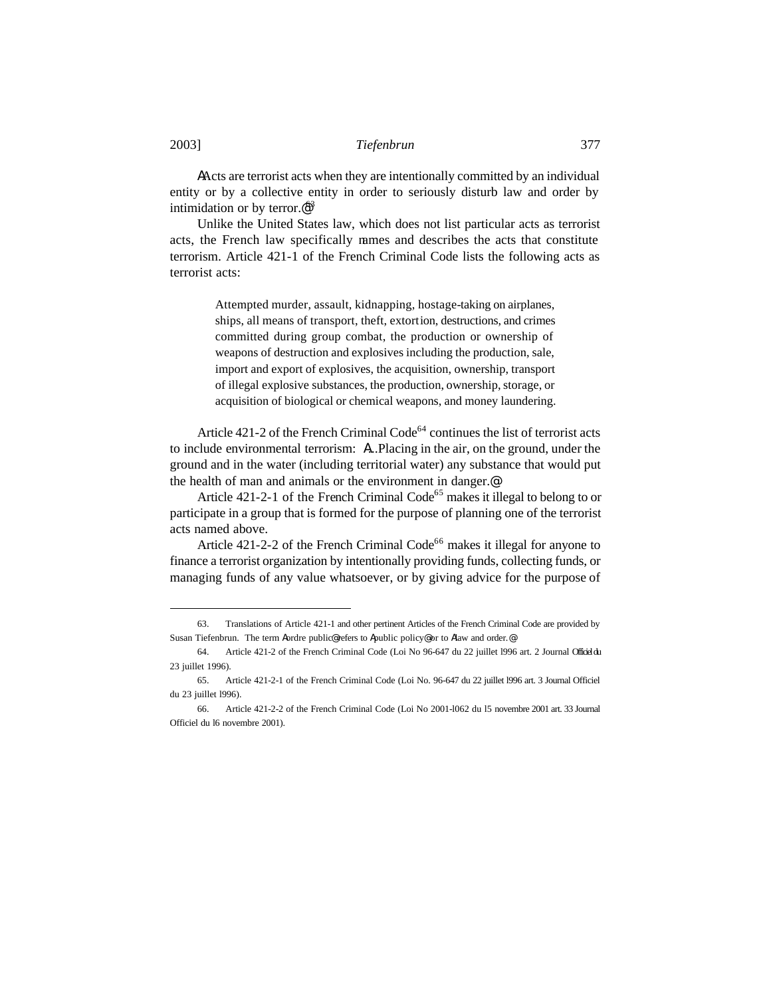A Acts are terrorist acts when they are intentionally committed by an individual entity or by a collective entity in order to seriously disturb law and order by intimidation or by terror. $\mathcal{Q}^{53}$ 

Unlike the United States law, which does not list particular acts as terrorist acts, the French law specifically names and describes the acts that constitute terrorism. Article 421-1 of the French Criminal Code lists the following acts as terrorist acts:

> Attempted murder, assault, kidnapping, hostage-taking on airplanes, ships, all means of transport, theft, extortion, destructions, and crimes committed during group combat, the production or ownership of weapons of destruction and explosives including the production, sale, import and export of explosives, the acquisition, ownership, transport of illegal explosive substances, the production, ownership, storage, or acquisition of biological or chemical weapons, and money laundering.

Article  $421-2$  of the French Criminal Code<sup>64</sup> continues the list of terrorist acts to include environmental terrorism: A...Placing in the air, on the ground, under the ground and in the water (including territorial water) any substance that would put the health of man and animals or the environment in danger.@

Article  $421-2-1$  of the French Criminal Code<sup>65</sup> makes it illegal to belong to or participate in a group that is formed for the purpose of planning one of the terrorist acts named above.

Article 421-2-2 of the French Criminal Code<sup>66</sup> makes it illegal for anyone to finance a terrorist organization by intentionally providing funds, collecting funds, or managing funds of any value whatsoever, or by giving advice for the purpose of

<sup>63.</sup> Translations of Article 421-1 and other pertinent Articles of the French Criminal Code are provided by Susan Tiefenbrun. The term Aordre public@ refers to Apublic policy@ or to Alaw and order.@

<sup>64.</sup> Article 421-2 of the French Criminal Code (Loi No 96-647 du 22 juillet l996 art. 2 Journal Officiel du 23 juillet 1996).

<sup>65.</sup> Article 421-2-1 of the French Criminal Code (Loi No. 96-647 du 22 juillet l996 art. 3 Journal Officiel du 23 juillet l996).

<sup>66.</sup> Article 421-2-2 of the French Criminal Code (Loi No 2001-l062 du l5 novembre 2001 art. 33 Journal Officiel du l6 novembre 2001).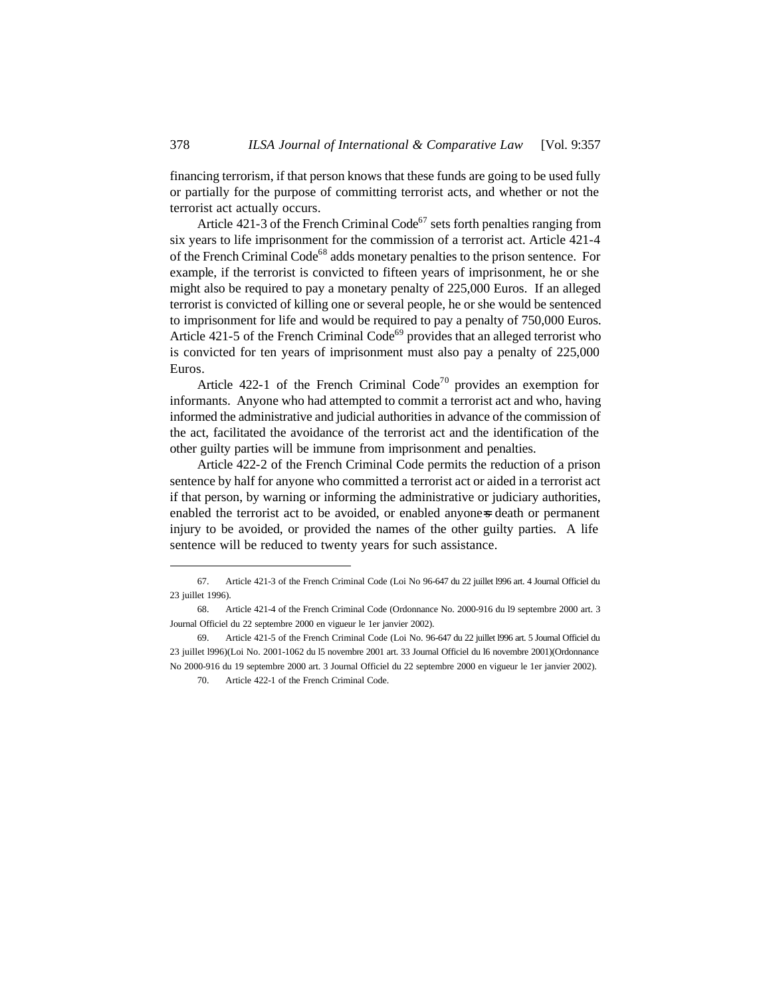financing terrorism, if that person knows that these funds are going to be used fully or partially for the purpose of committing terrorist acts, and whether or not the terrorist act actually occurs.

Article 421-3 of the French Criminal Code<sup>67</sup> sets forth penalties ranging from six years to life imprisonment for the commission of a terrorist act. Article 421-4 of the French Criminal Code<sup>68</sup> adds monetary penalties to the prison sentence. For example, if the terrorist is convicted to fifteen years of imprisonment, he or she might also be required to pay a monetary penalty of 225,000 Euros. If an alleged terrorist is convicted of killing one or several people, he or she would be sentenced to imprisonment for life and would be required to pay a penalty of 750,000 Euros. Article 421-5 of the French Criminal Code<sup>69</sup> provides that an alleged terrorist who is convicted for ten years of imprisonment must also pay a penalty of 225,000 Euros.

Article 422-1 of the French Criminal Code<sup>70</sup> provides an exemption for informants. Anyone who had attempted to commit a terrorist act and who, having informed the administrative and judicial authorities in advance of the commission of the act, facilitated the avoidance of the terrorist act and the identification of the other guilty parties will be immune from imprisonment and penalties.

Article 422-2 of the French Criminal Code permits the reduction of a prison sentence by half for anyone who committed a terrorist act or aided in a terrorist act if that person, by warning or informing the administrative or judiciary authorities, enabled the terrorist act to be avoided, or enabled anyones death or permanent injury to be avoided, or provided the names of the other guilty parties. A life sentence will be reduced to twenty years for such assistance.

<sup>67.</sup> Article 421-3 of the French Criminal Code (Loi No 96-647 du 22 juillet l996 art. 4 Journal Officiel du 23 juillet 1996).

<sup>68.</sup> Article 421-4 of the French Criminal Code (Ordonnance No. 2000-916 du l9 septembre 2000 art. 3 Journal Officiel du 22 septembre 2000 en vigueur le 1er janvier 2002).

<sup>69.</sup> Article 421-5 of the French Criminal Code (Loi No. 96-647 du 22 juillet l996 art. 5 Journal Officiel du 23 juillet l996)(Loi No. 2001-1062 du l5 novembre 2001 art. 33 Journal Officiel du l6 novembre 2001)(Ordonnance No 2000-916 du 19 septembre 2000 art. 3 Journal Officiel du 22 septembre 2000 en vigueur le 1er janvier 2002).

<sup>70.</sup> Article 422-1 of the French Criminal Code.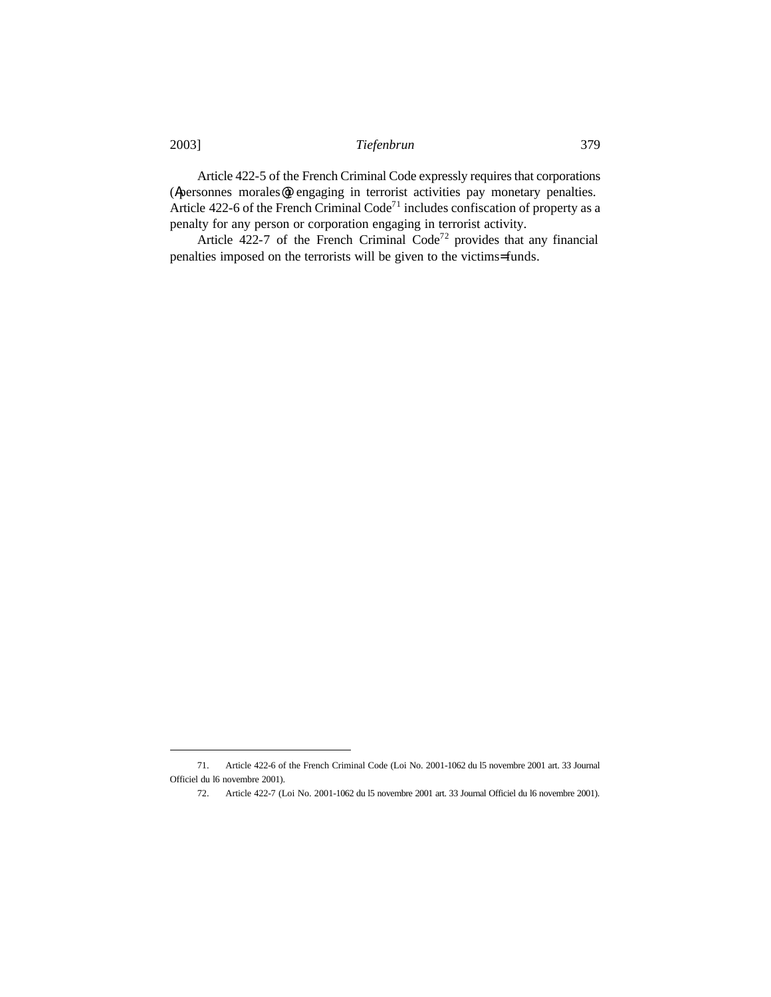Article 422-5 of the French Criminal Code expressly requires that corporations (Apersonnes morales@) engaging in terrorist activities pay monetary penalties. Article  $422-6$  of the French Criminal Code<sup>71</sup> includes confiscation of property as a penalty for any person or corporation engaging in terrorist activity.

Article 422-7 of the French Criminal Code<sup>72</sup> provides that any financial penalties imposed on the terrorists will be given to the victims= funds.

<sup>71.</sup> Article 422-6 of the French Criminal Code (Loi No. 2001-1062 du l5 novembre 2001 art. 33 Journal Officiel du l6 novembre 2001).

<sup>72.</sup> Article 422-7 (Loi No. 2001-1062 du l5 novembre 2001 art. 33 Journal Officiel du l6 novembre 2001).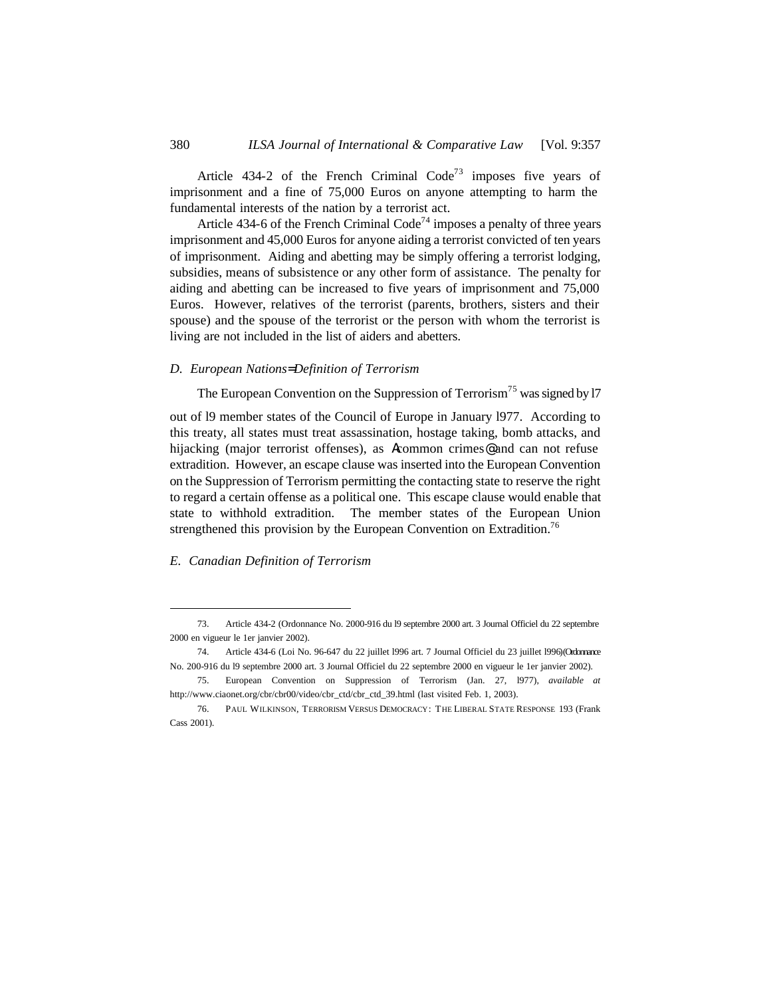Article 434-2 of the French Criminal Code<sup>73</sup> imposes five years of imprisonment and a fine of 75,000 Euros on anyone attempting to harm the fundamental interests of the nation by a terrorist act.

Article 434-6 of the French Criminal Code<sup>74</sup> imposes a penalty of three years imprisonment and 45,000 Euros for anyone aiding a terrorist convicted of ten years of imprisonment. Aiding and abetting may be simply offering a terrorist lodging, subsidies, means of subsistence or any other form of assistance. The penalty for aiding and abetting can be increased to five years of imprisonment and 75,000 Euros. However, relatives of the terrorist (parents, brothers, sisters and their spouse) and the spouse of the terrorist or the person with whom the terrorist is living are not included in the list of aiders and abetters.

#### *D. European Nations= Definition of Terrorism*

The European Convention on the Suppression of Terrorism<sup>75</sup> was signed by 17

out of l9 member states of the Council of Europe in January l977. According to this treaty, all states must treat assassination, hostage taking, bomb attacks, and hijacking (major terrorist offenses), as Acommon crimes@ and can not refuse extradition. However, an escape clause was inserted into the European Convention on the Suppression of Terrorism permitting the contacting state to reserve the right to regard a certain offense as a political one. This escape clause would enable that state to withhold extradition. The member states of the European Union strengthened this provision by the European Convention on Extradition.<sup>76</sup>

#### *E. Canadian Definition of Terrorism*

<sup>73.</sup> Article 434-2 (Ordonnance No. 2000-916 du l9 septembre 2000 art. 3 Journal Officiel du 22 septembre 2000 en vigueur le 1er janvier 2002).

<sup>74.</sup> Article 434-6 (Loi No. 96-647 du 22 juillet l996 art. 7 Journal Officiel du 23 juillet l996) (Ordonnance No. 200-916 du l9 septembre 2000 art. 3 Journal Officiel du 22 septembre 2000 en vigueur le 1er janvier 2002).

<sup>75.</sup> European Convention on Suppression of Terrorism (Jan. 27, l977), *available at* http://www.ciaonet.org/cbr/cbr00/video/cbr\_ctd/cbr\_ctd\_39.html (last visited Feb. 1, 2003).

<sup>76.</sup> PAUL WILKINSON, TERRORISM VERSUS DEMOCRACY: THE LIBERAL STATE RESPONSE 193 (Frank Cass 2001).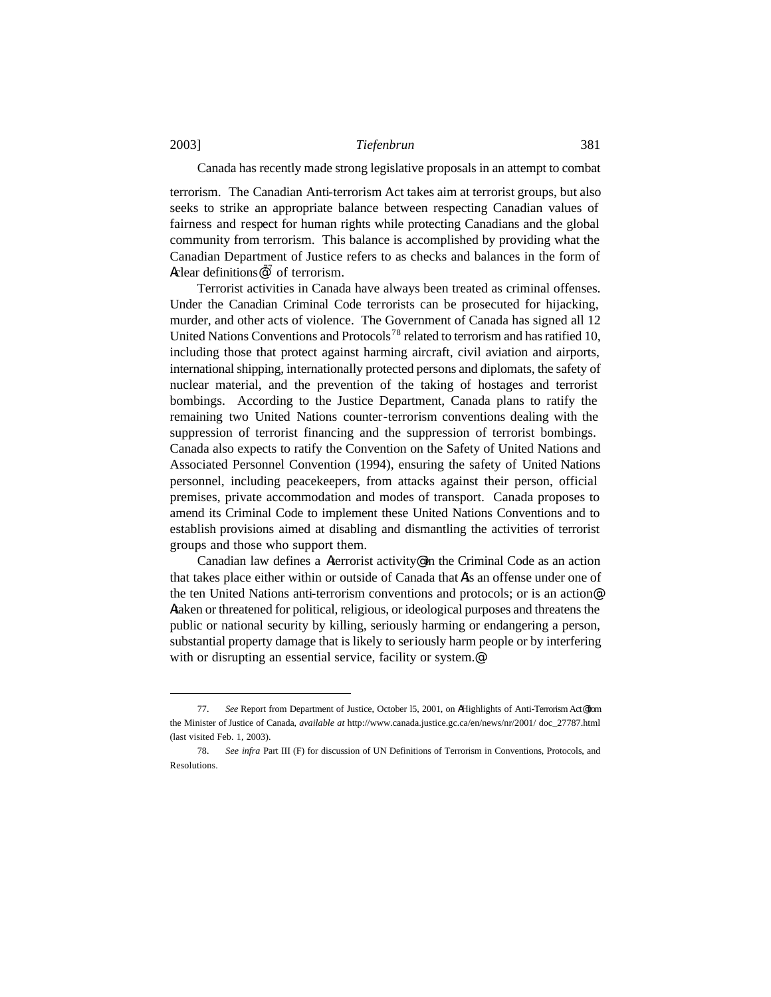#### Canada has recently made strong legislative proposals in an attempt to combat

terrorism. The Canadian Anti-terrorism Act takes aim at terrorist groups, but also seeks to strike an appropriate balance between respecting Canadian values of fairness and respect for human rights while protecting Canadians and the global community from terrorism. This balance is accomplished by providing what the Canadian Department of Justice refers to as checks and balances in the form of Aclear definitions  $\mathbb{R}^7$  of terrorism.

Terrorist activities in Canada have always been treated as criminal offenses. Under the Canadian Criminal Code terrorists can be prosecuted for hijacking, murder, and other acts of violence. The Government of Canada has signed all 12 United Nations Conventions and Protocols<sup>78</sup> related to terrorism and has ratified 10, including those that protect against harming aircraft, civil aviation and airports, international shipping, internationally protected persons and diplomats, the safety of nuclear material, and the prevention of the taking of hostages and terrorist bombings. According to the Justice Department, Canada plans to ratify the remaining two United Nations counter-terrorism conventions dealing with the suppression of terrorist financing and the suppression of terrorist bombings. Canada also expects to ratify the Convention on the Safety of United Nations and Associated Personnel Convention (1994), ensuring the safety of United Nations personnel, including peacekeepers, from attacks against their person, official premises, private accommodation and modes of transport. Canada proposes to amend its Criminal Code to implement these United Nations Conventions and to establish provisions aimed at disabling and dismantling the activities of terrorist groups and those who support them.

Canadian law defines a Aterrorist activity@ in the Criminal Code as an action that takes place either within or outside of Canada that Ais an offense under one of the ten United Nations anti-terrorism conventions and protocols; or is an action@: Ataken or threatened for political, religious, or ideological purposes and threatens the public or national security by killing, seriously harming or endangering a person, substantial property damage that is likely to seriously harm people or by interfering with or disrupting an essential service, facility or system.<sup>@</sup>

<sup>77.</sup> See Report from Department of Justice, October 15, 2001, on AHighlights of Anti-Terrorism Act@from the Minister of Justice of Canada, *available at* http://www.canada.justice.gc.ca/en/news/nr/2001/ doc\_27787.html (last visited Feb. 1, 2003).

<sup>78.</sup> *See infra* Part III (F) for discussion of UN Definitions of Terrorism in Conventions, Protocols, and Resolutions.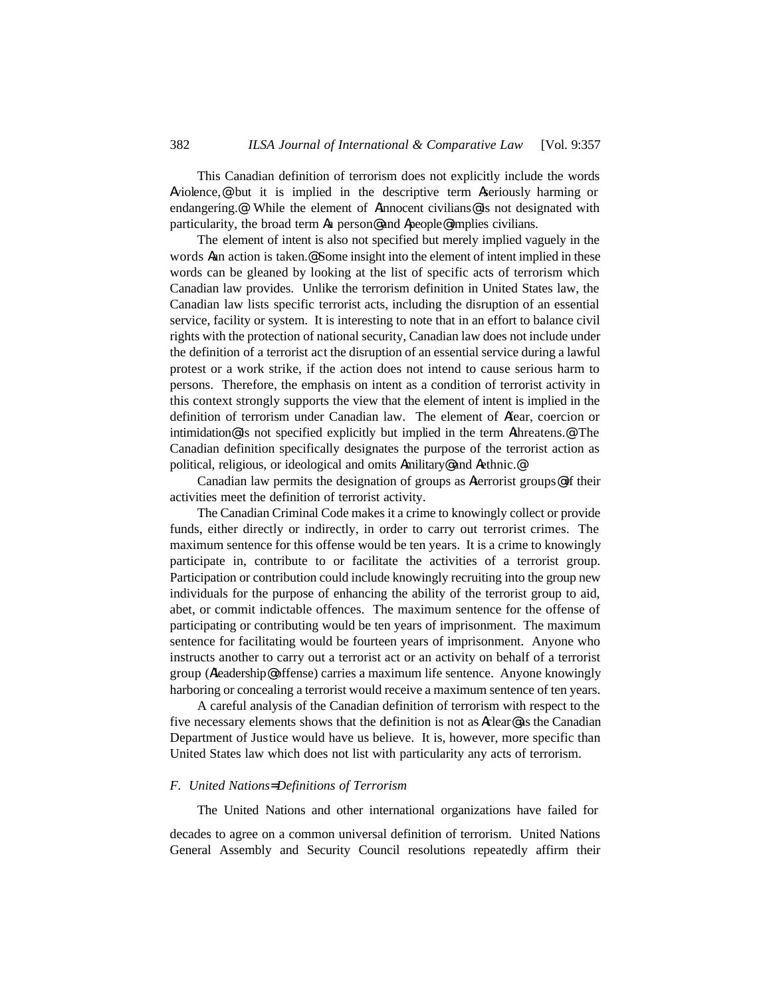This Canadian definition of terrorism does not explicitly include the words Aviolence,@ but it is implied in the descriptive term Aseriously harming or endangering.<sup>@</sup> While the element of Ainnocent civilians<sup>@</sup> is not designated with particularity, the broad term Aa person@ and Apeople@ implies civilians.

The element of intent is also not specified but merely implied vaguely in the words Aan action is taken.@ Some insight into the element of intent implied in these words can be gleaned by looking at the list of specific acts of terrorism which Canadian law provides. Unlike the terrorism definition in United States law, the Canadian law lists specific terrorist acts, including the disruption of an essential service, facility or system. It is interesting to note that in an effort to balance civil rights with the protection of national security, Canadian law does not include under the definition of a terrorist act the disruption of an essential service during a lawful protest or a work strike, if the action does not intend to cause serious harm to persons. Therefore, the emphasis on intent as a condition of terrorist activity in this context strongly supports the view that the element of intent is implied in the definition of terrorism under Canadian law. The element of Afear, coercion or intimidation@ is not specified explicitly but implied in the term Athreatens.@ The Canadian definition specifically designates the purpose of the terrorist action as political, religious, or ideological and omits Amilitary@ and Aethnic.@

Canadian law permits the designation of groups as Aterrorist groups@ if their activities meet the definition of terrorist activity.

The Canadian Criminal Code makes it a crime to knowingly collect or provide funds, either directly or indirectly, in order to carry out terrorist crimes. The maximum sentence for this offense would be ten years. It is a crime to knowingly participate in, contribute to or facilitate the activities of a terrorist group. Participation or contribution could include knowingly recruiting into the group new individuals for the purpose of enhancing the ability of the terrorist group to aid, abet, or commit indictable offences. The maximum sentence for the offense of participating or contributing would be ten years of imprisonment. The maximum sentence for facilitating would be fourteen years of imprisonment. Anyone who instructs another to carry out a terrorist act or an activity on behalf of a terrorist group (Aleadership@ offense) carries a maximum life sentence. Anyone knowingly harboring or concealing a terrorist would receive a maximum sentence of ten years.

A careful analysis of the Canadian definition of terrorism with respect to the five necessary elements shows that the definition is not as Aclear@ as the Canadian Department of Justice would have us believe. It is, however, more specific than United States law which does not list with particularity any acts of terrorism.

### *F. United Nations= Definitions of Terrorism*

The United Nations and other international organizations have failed for

decades to agree on a common universal definition of terrorism. United Nations General Assembly and Security Council resolutions repeatedly affirm their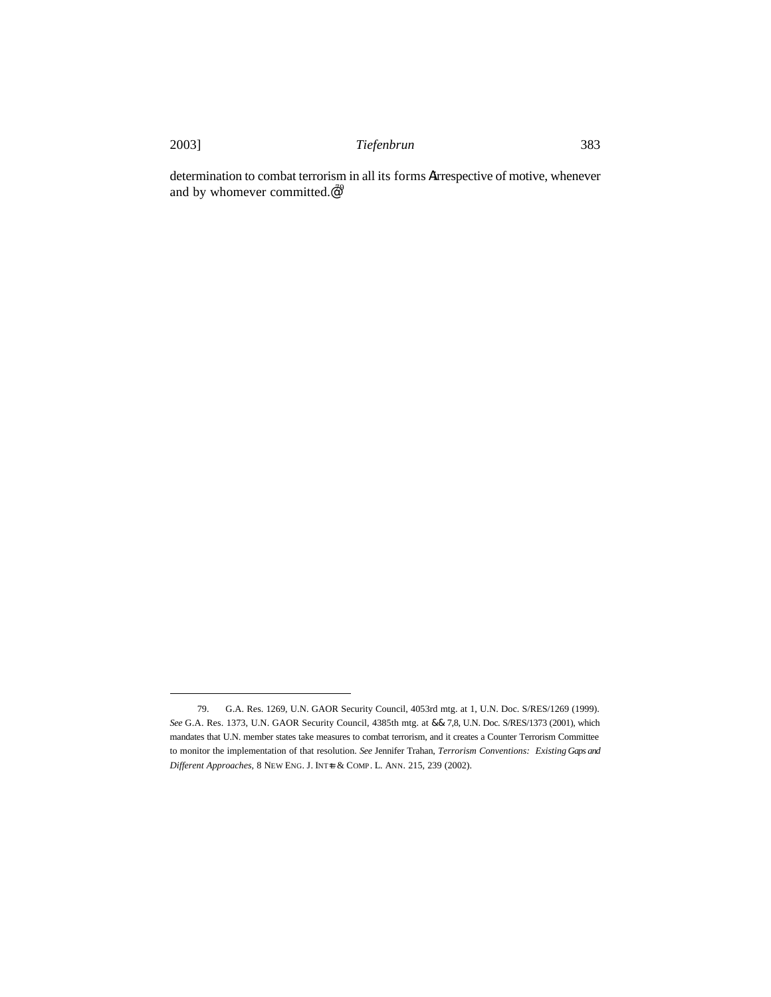$\overline{a}$ 

determination to combat terrorism in all its forms Airrespective of motive, whenever and by whomever committed. $\mathcal{Q}^9$ 

<sup>79.</sup> G.A. Res. 1269, U.N. GAOR Security Council, 4053rd mtg. at 1, U.N. Doc. S/RES/1269 (1999). *See* G.A. Res. 1373, U.N. GAOR Security Council, 4385th mtg. at && 7,8, U.N. Doc. S/RES/1373 (2001), which mandates that U.N. member states take measures to combat terrorism, and it creates a Counter Terrorism Committee to monitor the implementation of that resolution. *See* Jennifer Trahan, *Terrorism Conventions: Existing Gaps and Different Approaches,* 8 NEW ENG. J. INT=L & COMP. L. ANN. 215, 239 (2002).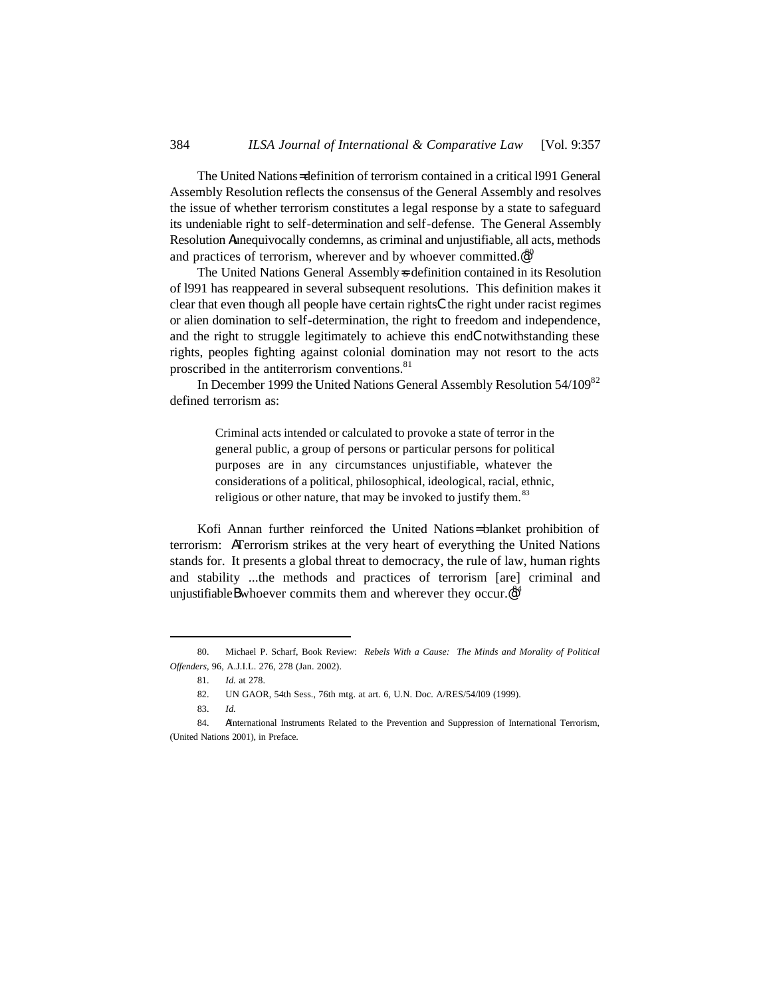The United Nations= definition of terrorism contained in a critical l991 General Assembly Resolution reflects the consensus of the General Assembly and resolves the issue of whether terrorism constitutes a legal response by a state to safeguard its undeniable right to self-determination and self-defense. The General Assembly Resolution Aunequivocally condemns, as criminal and unjustifiable, all acts, methods and practices of terrorism, wherever and by whoever committed. $e^{80}$ 

The United Nations General Assembly = definition contained in its Resolution of l991 has reappeared in several subsequent resolutions. This definition makes it clear that even though all people have certain rightsCthe right under racist regimes or alien domination to self-determination, the right to freedom and independence, and the right to struggle legitimately to achieve this endCnotwithstanding these rights, peoples fighting against colonial domination may not resort to the acts proscribed in the antiterrorism conventions.<sup>81</sup>

In December 1999 the United Nations General Assembly Resolution 54/109<sup>82</sup> defined terrorism as:

> Criminal acts intended or calculated to provoke a state of terror in the general public, a group of persons or particular persons for political purposes are in any circumstances unjustifiable, whatever the considerations of a political, philosophical, ideological, racial, ethnic, religious or other nature, that may be invoked to justify them.  $83$

Kofi Annan further reinforced the United Nations= blanket prohibition of terrorism: ATerrorism strikes at the very heart of everything the United Nations stands for. It presents a global threat to democracy, the rule of law, human rights and stability ...the methods and practices of terrorism [are] criminal and unjustifiable Bwhoever commits them and wherever they occur. $e^{i\theta^4}$ 

<sup>80.</sup> Michael P. Scharf, Book Review: *Rebels With a Cause: The Minds and Morality of Political Offenders*, 96, A.J.I.L. 276, 278 (Jan. 2002).

<sup>81.</sup> *Id.* at 278.

<sup>82.</sup> UN GAOR, 54th Sess., 76th mtg. at art. 6, U.N. Doc. A/RES/54/l09 (1999).

<sup>83.</sup> *Id.*

<sup>84.</sup> AInternational Instruments Related to the Prevention and Suppression of International Terrorism, (United Nations 2001), in Preface.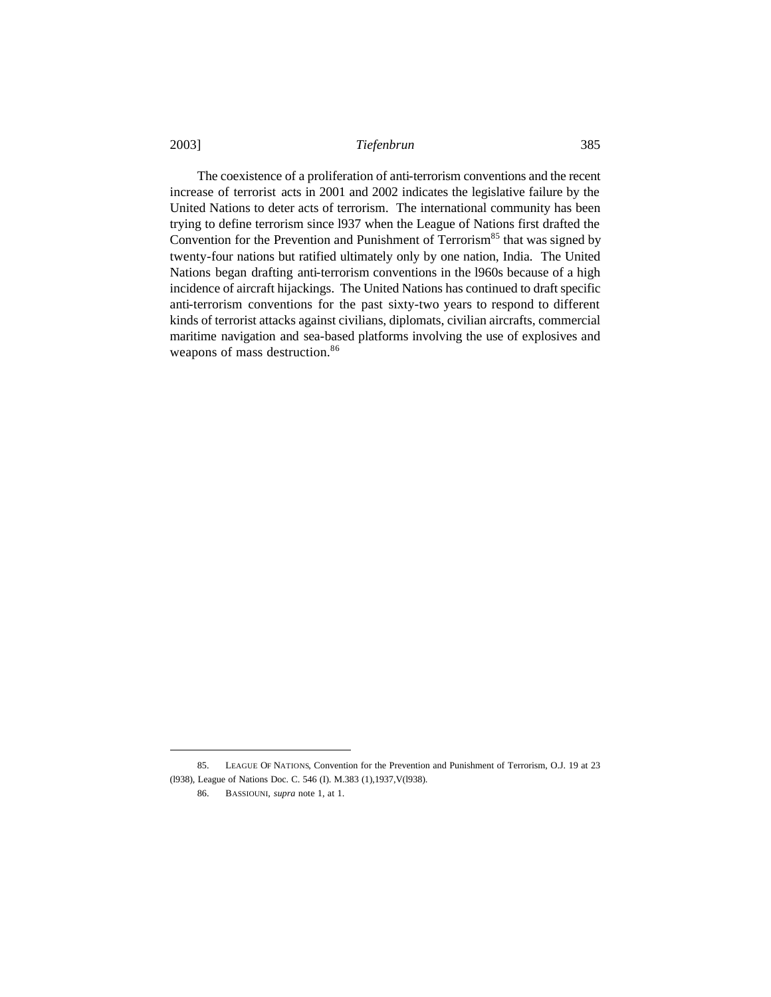The coexistence of a proliferation of anti-terrorism conventions and the recent increase of terrorist acts in 2001 and 2002 indicates the legislative failure by the United Nations to deter acts of terrorism. The international community has been trying to define terrorism since l937 when the League of Nations first drafted the Convention for the Prevention and Punishment of Terrorism $85$  that was signed by twenty-four nations but ratified ultimately only by one nation, India. The United Nations began drafting anti-terrorism conventions in the l960s because of a high incidence of aircraft hijackings. The United Nations has continued to draft specific anti-terrorism conventions for the past sixty-two years to respond to different kinds of terrorist attacks against civilians, diplomats, civilian aircrafts, commercial maritime navigation and sea-based platforms involving the use of explosives and weapons of mass destruction.<sup>86</sup>

<sup>85.</sup> LEAGUE OF NATIONS, Convention for the Prevention and Punishment of Terrorism, O.J. 19 at 23 (l938), League of Nations Doc. C. 546 (I). M.383 (1),1937,V(l938).

<sup>86.</sup> BASSIOUNI, *supra* note 1, at 1.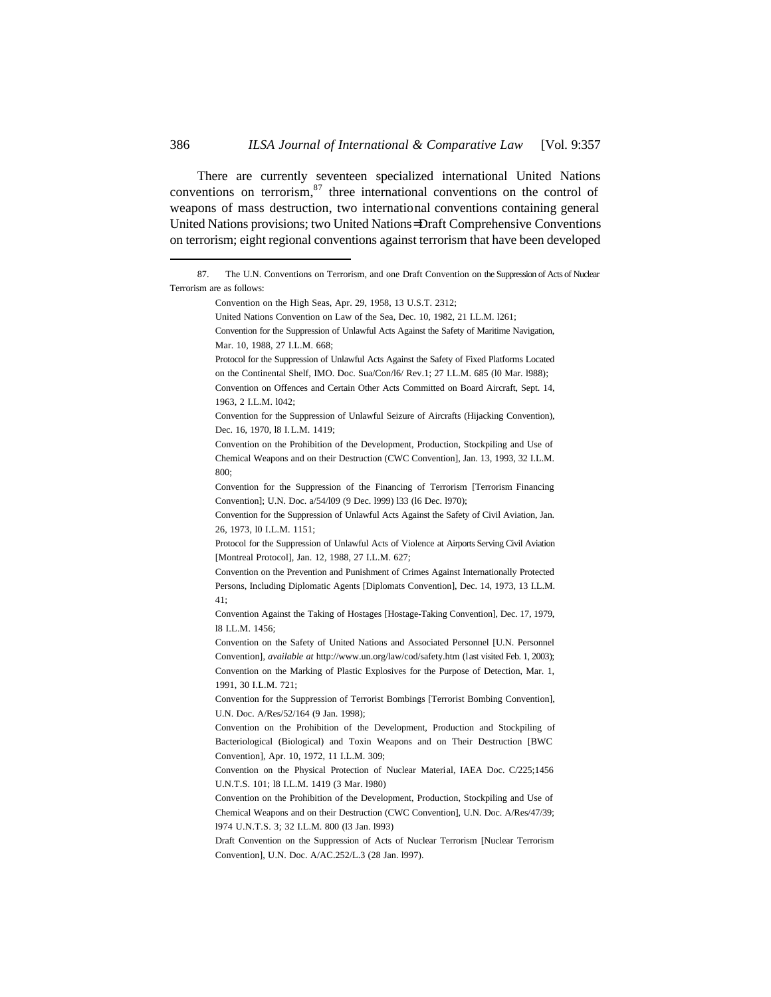There are currently seventeen specialized international United Nations conventions on terrorism, $87$  three international conventions on the control of weapons of mass destruction, two international conventions containing general United Nations provisions; two United Nations= Draft Comprehensive Conventions on terrorism; eight regional conventions against terrorism that have been developed

Convention on the High Seas, Apr. 29, 1958, 13 U.S.T. 2312;

 $\overline{a}$ 

United Nations Convention on Law of the Sea, Dec. 10, 1982, 21 I.L.M. l261;

Convention for the Suppression of Unlawful Acts Against the Safety of Maritime Navigation, Mar. 10, 1988, 27 I.L.M. 668;

Protocol for the Suppression of Unlawful Acts Against the Safety of Fixed Platforms Located on the Continental Shelf, IMO. Doc. Sua/Con/l6/ Rev.1; 27 I.L.M. 685 (l0 Mar. l988);

Convention on Offences and Certain Other Acts Committed on Board Aircraft, Sept. 14, 1963, 2 I.L.M. l042;

Convention for the Suppression of Unlawful Seizure of Aircrafts (Hijacking Convention), Dec. 16, 1970, l8 I.L.M. 1419;

Convention for the Suppression of the Financing of Terrorism [Terrorism Financing Convention]; U.N. Doc. a/54/l09 (9 Dec. l999) l33 (l6 Dec. l970);

Convention for the Suppression of Unlawful Acts Against the Safety of Civil Aviation, Jan. 26, 1973, l0 I.L.M. 1151;

Protocol for the Suppression of Unlawful Acts of Violence at Airports Serving Civil Aviation [Montreal Protocol], Jan. 12, 1988, 27 I.L.M. 627;

Convention on the Prevention and Punishment of Crimes Against Internationally Protected Persons, Including Diplomatic Agents [Diplomats Convention], Dec. 14, 1973, 13 I.L.M. 41;

Convention Against the Taking of Hostages [Hostage-Taking Convention], Dec. 17, 1979, l8 I.L.M. 1456;

Convention on the Safety of United Nations and Associated Personnel [U.N. Personnel Convention], *available at* http://www.un.org/law/cod/safety.htm (last visited Feb. 1, 2003); Convention on the Marking of Plastic Explosives for the Purpose of Detection, Mar. 1, 1991, 30 I.L.M. 721;

Convention for the Suppression of Terrorist Bombings [Terrorist Bombing Convention], U.N. Doc. A/Res/52/164 (9 Jan. 1998);

Convention on the Prohibition of the Development, Production and Stockpiling of Bacteriological (Biological) and Toxin Weapons and on Their Destruction [BWC Convention], Apr. 10, 1972, 11 I.L.M. 309;

Convention on the Physical Protection of Nuclear Material, IAEA Doc. C/225;1456 U.N.T.S. 101; l8 I.L.M. 1419 (3 Mar. l980)

Convention on the Prohibition of the Development, Production, Stockpiling and Use of Chemical Weapons and on their Destruction (CWC Convention], U.N. Doc. A/Res/47/39; l974 U.N.T.S. 3; 32 I.L.M. 800 (l3 Jan. l993)

Draft Convention on the Suppression of Acts of Nuclear Terrorism [Nuclear Terrorism Convention], U.N. Doc. A/AC.252/L.3 (28 Jan. l997).

<sup>87.</sup> The U.N. Conventions on Terrorism, and one Draft Convention on the Suppression of Acts of Nuclear Terrorism are as follows:

Convention on the Prohibition of the Development, Production, Stockpiling and Use of Chemical Weapons and on their Destruction (CWC Convention], Jan. 13, 1993, 32 I.L.M. 800;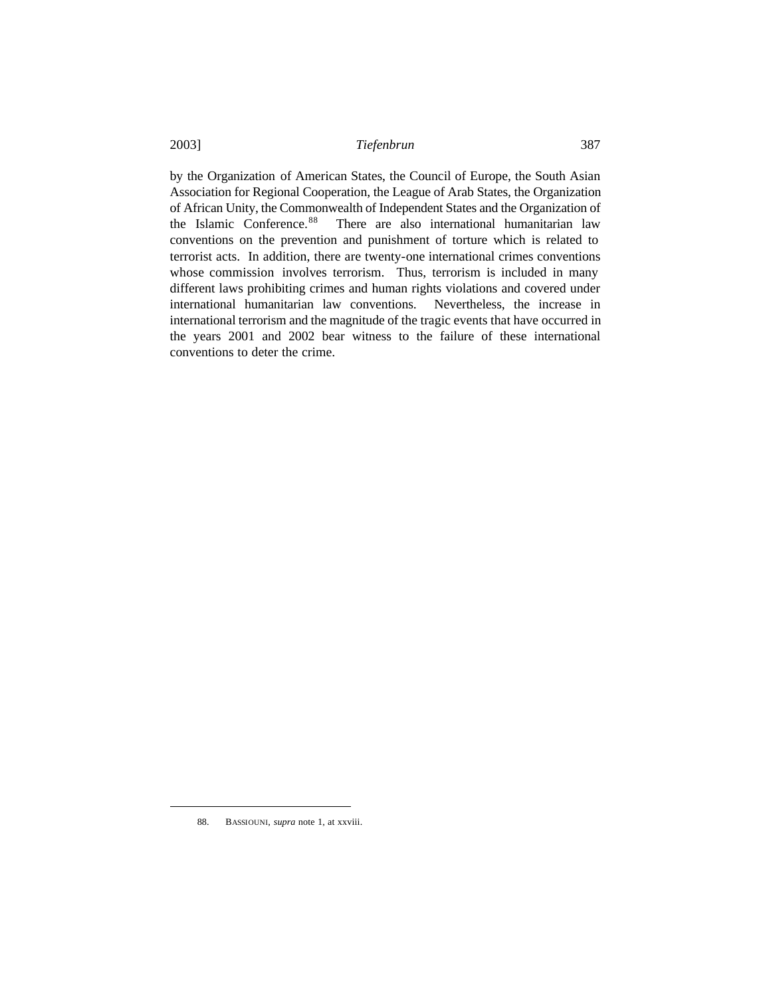by the Organization of American States, the Council of Europe, the South Asian Association for Regional Cooperation, the League of Arab States, the Organization of African Unity, the Commonwealth of Independent States and the Organization of the Islamic Conference.<sup>88</sup> There are also international humanitarian law conventions on the prevention and punishment of torture which is related to terrorist acts. In addition, there are twenty-one international crimes conventions whose commission involves terrorism. Thus, terrorism is included in many different laws prohibiting crimes and human rights violations and covered under international humanitarian law conventions. Nevertheless, the increase in international terrorism and the magnitude of the tragic events that have occurred in the years 2001 and 2002 bear witness to the failure of these international conventions to deter the crime.

<sup>88.</sup> BASSIOUNI, *supra* note 1, at xxviii.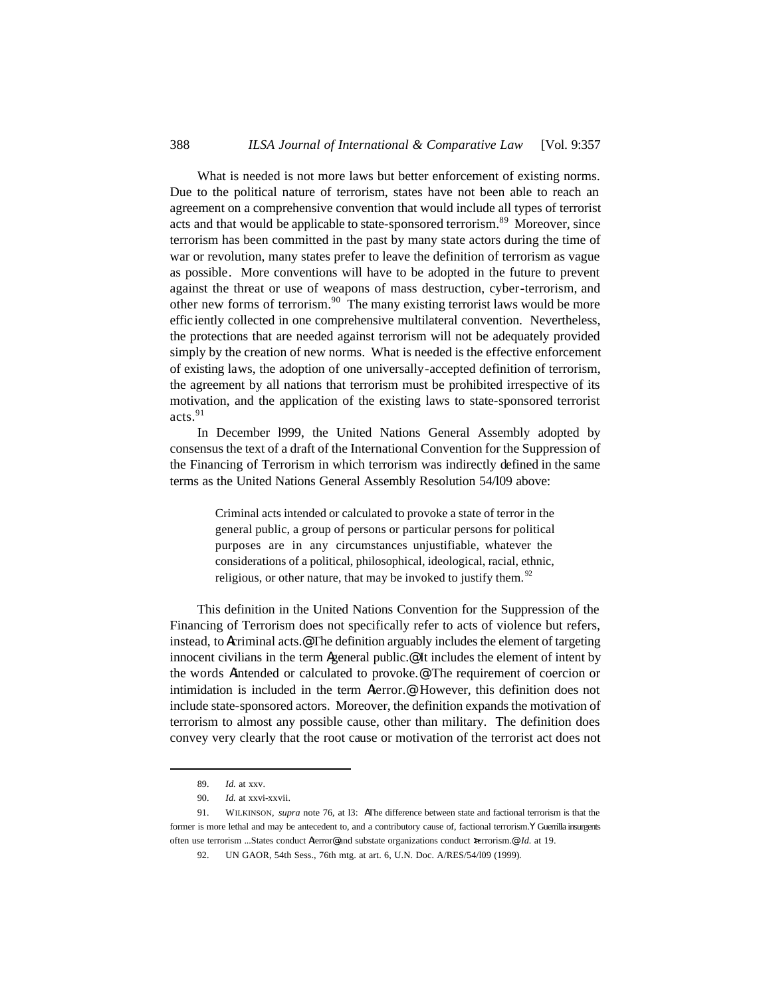What is needed is not more laws but better enforcement of existing norms. Due to the political nature of terrorism, states have not been able to reach an agreement on a comprehensive convention that would include all types of terrorist acts and that would be applicable to state-sponsored terrorism.<sup>89</sup> Moreover, since terrorism has been committed in the past by many state actors during the time of war or revolution, many states prefer to leave the definition of terrorism as vague as possible. More conventions will have to be adopted in the future to prevent against the threat or use of weapons of mass destruction, cyber-terrorism, and other new forms of terrorism.<sup>90</sup> The many existing terrorist laws would be more effic iently collected in one comprehensive multilateral convention. Nevertheless, the protections that are needed against terrorism will not be adequately provided simply by the creation of new norms. What is needed is the effective enforcement of existing laws, the adoption of one universally-accepted definition of terrorism, the agreement by all nations that terrorism must be prohibited irrespective of its motivation, and the application of the existing laws to state-sponsored terrorist acts.<sup>91</sup>

In December l999, the United Nations General Assembly adopted by consensus the text of a draft of the International Convention for the Suppression of the Financing of Terrorism in which terrorism was indirectly defined in the same terms as the United Nations General Assembly Resolution 54/l09 above:

> Criminal acts intended or calculated to provoke a state of terror in the general public, a group of persons or particular persons for political purposes are in any circumstances unjustifiable, whatever the considerations of a political, philosophical, ideological, racial, ethnic, religious, or other nature, that may be invoked to justify them.<sup>92</sup>

This definition in the United Nations Convention for the Suppression of the Financing of Terrorism does not specifically refer to acts of violence but refers, instead, to Acriminal acts.@ The definition arguably includes the element of targeting innocent civilians in the term Ageneral public.@ It includes the element of intent by the words Aintended or calculated to provoke.@ The requirement of coercion or intimidation is included in the term Aterror.@ However, this definition does not include state-sponsored actors. Moreover, the definition expands the motivation of terrorism to almost any possible cause, other than military. The definition does convey very clearly that the root cause or motivation of the terrorist act does not

<sup>89.</sup> *Id.* at xxv.

<sup>90.</sup> *Id.* at xxvi-xxvii.

<sup>91.</sup> WILKINSON, *supra* note 76, at l3: AThe difference between state and factional terrorism is that the former is more lethal and may be antecedent to, and a contributory cause of, factional terrorism.Y Guerrilla insurgents often use terrorism ...States conduct Aterror@ and substate organizations conduct >terrorism.@ *Id.* at 19.

<sup>92.</sup> UN GAOR, 54th Sess., 76th mtg. at art. 6, U.N. Doc. A/RES/54/l09 (1999).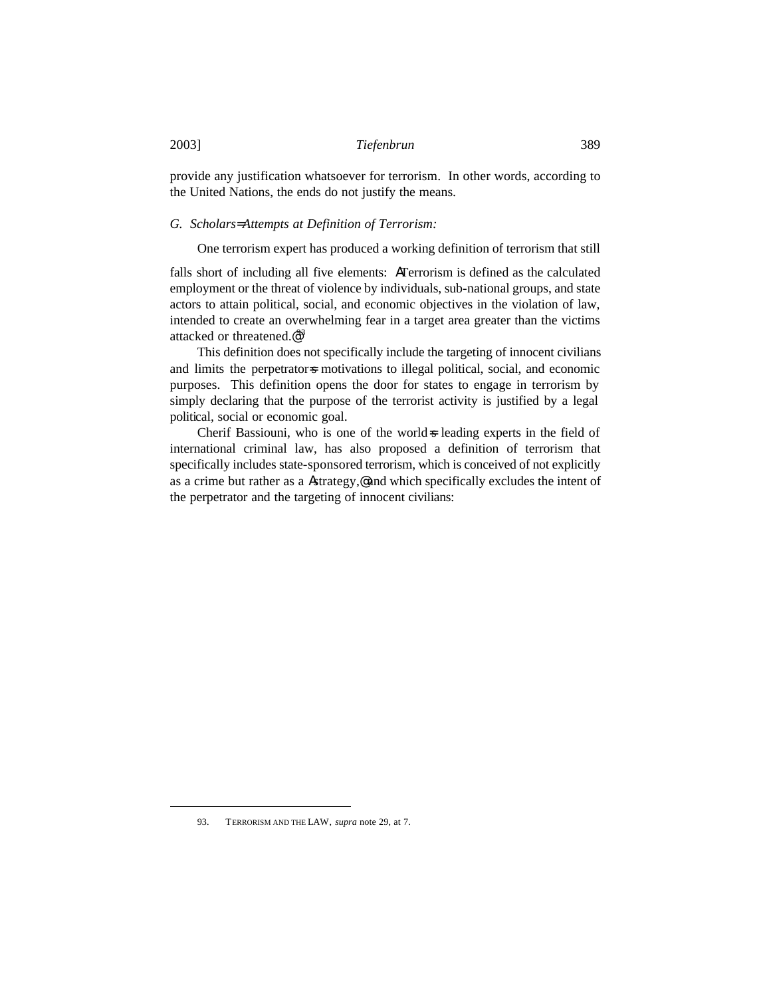provide any justification whatsoever for terrorism. In other words, according to the United Nations, the ends do not justify the means.

### *G. Scholars= Attempts at Definition of Terrorism:*

One terrorism expert has produced a working definition of terrorism that still

falls short of including all five elements: ATerrorism is defined as the calculated employment or the threat of violence by individuals, sub-national groups, and state actors to attain political, social, and economic objectives in the violation of law, intended to create an overwhelming fear in a target area greater than the victims attacked or threatened.@93

This definition does not specifically include the targeting of innocent civilians and limits the perpetrators motivations to illegal political, social, and economic purposes. This definition opens the door for states to engage in terrorism by simply declaring that the purpose of the terrorist activity is justified by a legal political, social or economic goal.

Cherif Bassiouni, who is one of the world=s leading experts in the field of international criminal law, has also proposed a definition of terrorism that specifically includes state-sponsored terrorism, which is conceived of not explicitly as a crime but rather as a Astrategy,@ and which specifically excludes the intent of the perpetrator and the targeting of innocent civilians:

<sup>93.</sup> TERRORISM AND THE LAW, *supra* note 29, at 7.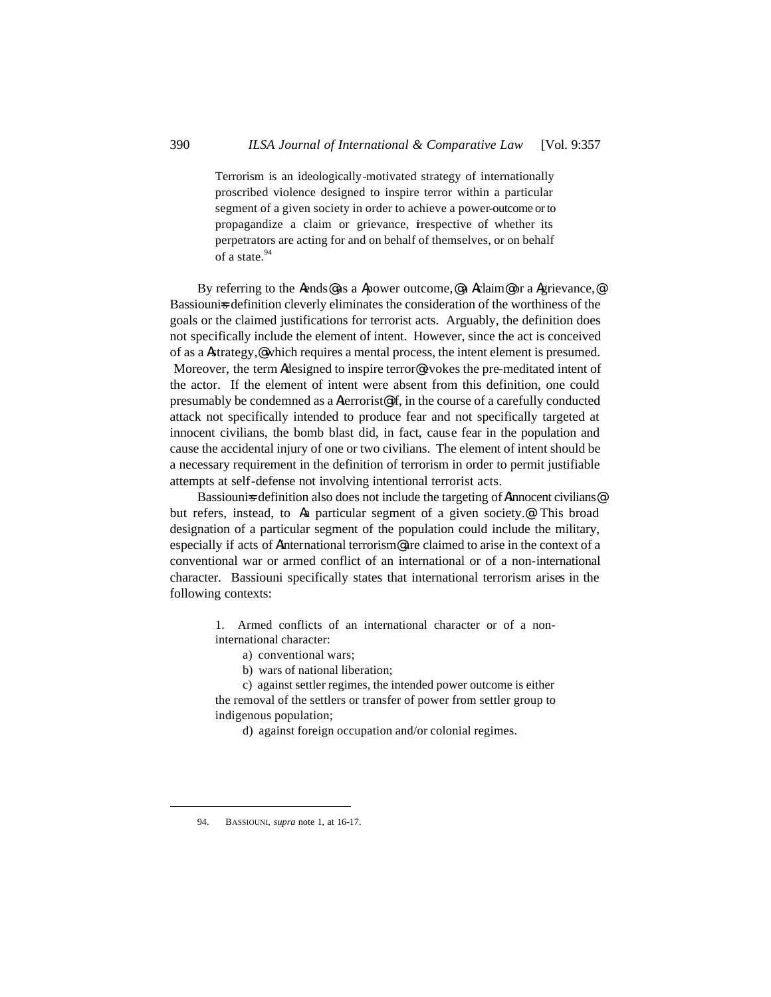Terrorism is an ideologically-motivated strategy of internationally proscribed violence designed to inspire terror within a particular segment of a given society in order to achieve a power-outcome or to propagandize a claim or grievance, irrespective of whether its perpetrators are acting for and on behalf of themselves, or on behalf of a state.<sup>94</sup>

By referring to the Aends@ as a Apower outcome,@ a Aclaim@ or a Agrievance,@ Bassiounis definition cleverly eliminates the consideration of the worthiness of the goals or the claimed justifications for terrorist acts. Arguably, the definition does not specifically include the element of intent. However, since the act is conceived of as a Astrategy,@ which requires a mental process, the intent element is presumed. Moreover, the term Adesigned to inspire terror@evokes the pre-meditated intent of the actor. If the element of intent were absent from this definition, one could presumably be condemned as a Aterrorist@ if, in the course of a carefully conducted attack not specifically intended to produce fear and not specifically targeted at innocent civilians, the bomb blast did, in fact, cause fear in the population and cause the accidental injury of one or two civilians. The element of intent should be a necessary requirement in the definition of terrorism in order to permit justifiable attempts at self-defense not involving intentional terrorist acts.

Bassiounis definition also does not include the targeting of Ainnocent civilians<sup>@</sup> but refers, instead, to Aa particular segment of a given society.@ This broad designation of a particular segment of the population could include the military, especially if acts of Ainternational terrorism@ are claimed to arise in the context of a conventional war or armed conflict of an international or of a non-international character. Bassiouni specifically states that international terrorism arises in the following contexts:

> 1. Armed conflicts of an international character or of a noninternational character:

- a) conventional wars;
- b) wars of national liberation;

c) against settler regimes, the intended power outcome is either the removal of the settlers or transfer of power from settler group to indigenous population;

d) against foreign occupation and/or colonial regimes.

<sup>94.</sup> BASSIOUNI, *supra* note 1, at 16-17.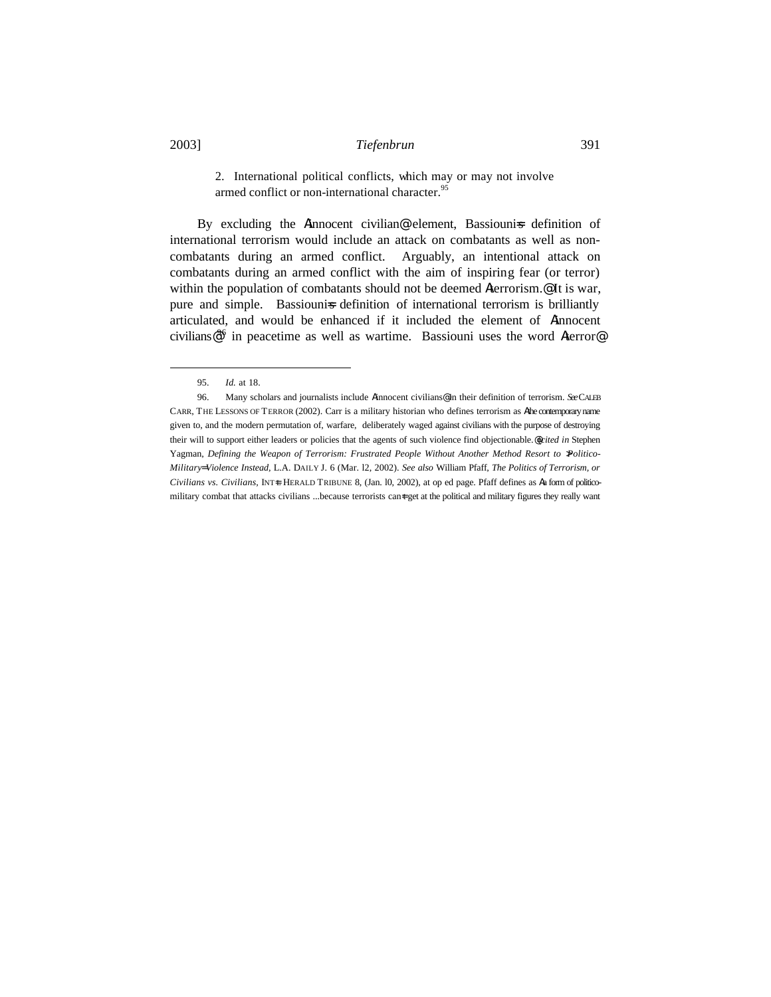2. International political conflicts, which may or may not involve armed conflict or non-international character.<sup>95</sup>

By excluding the Ainnocent civilian® element, Bassiouni=s definition of international terrorism would include an attack on combatants as well as noncombatants during an armed conflict. Arguably, an intentional attack on combatants during an armed conflict with the aim of inspiring fear (or terror) within the population of combatants should not be deemed Aterrorism.<sup>@</sup> It is war, pure and simple. Bassiounis definition of international terrorism is brilliantly articulated, and would be enhanced if it included the element of Ainnocent civilians®<sup>6</sup> in peacetime as well as wartime. Bassiouni uses the word Aterror®

<sup>95.</sup> *Id.* at 18.

<sup>96.</sup> Many scholars and journalists include Ainnocent civilians@ in their definition of terrorism. *See* CALEB CARR, THE LESSONS OF TERROR (2002). Carr is a military historian who defines terrorism as Athe contemporary name given to, and the modern permutation of, warfare, deliberately waged against civilians with the purpose of destroying their will to support either leaders or policies that the agents of such violence find objectionable.@(*cited in* Stephen Yagman, *Defining the Weapon of Terrorism: Frustrated People Without Another Method Resort to \Politico-Military= Violence Instead,* L.A. DAILY J. 6 (Mar. l2, 2002). *See also* William Pfaff, *The Politics of Terrorism, or Civilians vs. Civilians, INT+L HERALD TRIBUNE 8, (Jan. 10, 2002), at op ed page. Pfaff defines as Aa form of politico*military combat that attacks civilians ...because terrorists can<sup>t</sup> get at the political and military figures they really want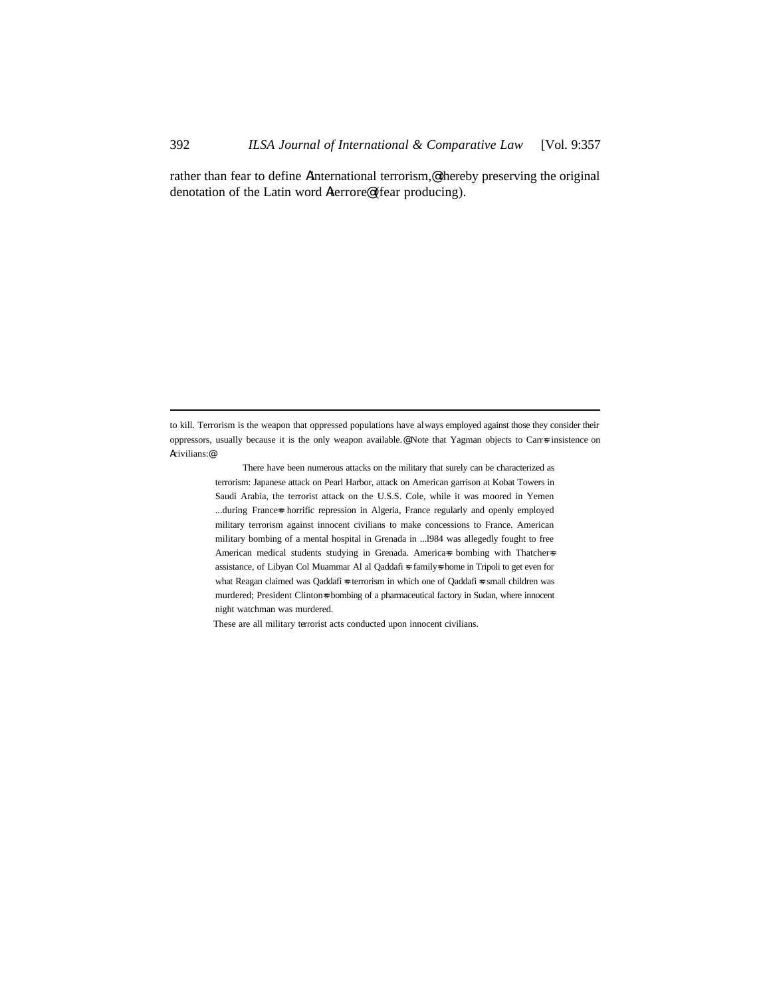rather than fear to define Ainternational terrorism,@ thereby preserving the original denotation of the Latin word Aterrore@ (fear producing).

to kill. Terrorism is the weapon that oppressed populations have always employed against those they consider their oppressors, usually because it is the only weapon available.@ Note that Yagman objects to Carr=s insistence on Acivilians:@

> There have been numerous attacks on the military that surely can be characterized as terrorism: Japanese attack on Pearl Harbor, attack on American garrison at Kobat Towers in Saudi Arabia, the terrorist attack on the U.S.S. Cole, while it was moored in Yemen ...during Frances horrific repression in Algeria, France regularly and openly employed military terrorism against innocent civilians to make concessions to France. American military bombing of a mental hospital in Grenada in ...l984 was allegedly fought to free American medical students studying in Grenada. America=s bombing with Thatcher=s assistance, of Libyan Col Muammar Al al Qaddafi  $\ast$  family $\ast$  home in Tripoli to get even for what Reagan claimed was Qaddafi = terrorism in which one of Qaddafi = small children was murdered; President Clinton=s bombing of a pharmaceutical factory in Sudan, where innocent night watchman was murdered.

These are all military terrorist acts conducted upon innocent civilians.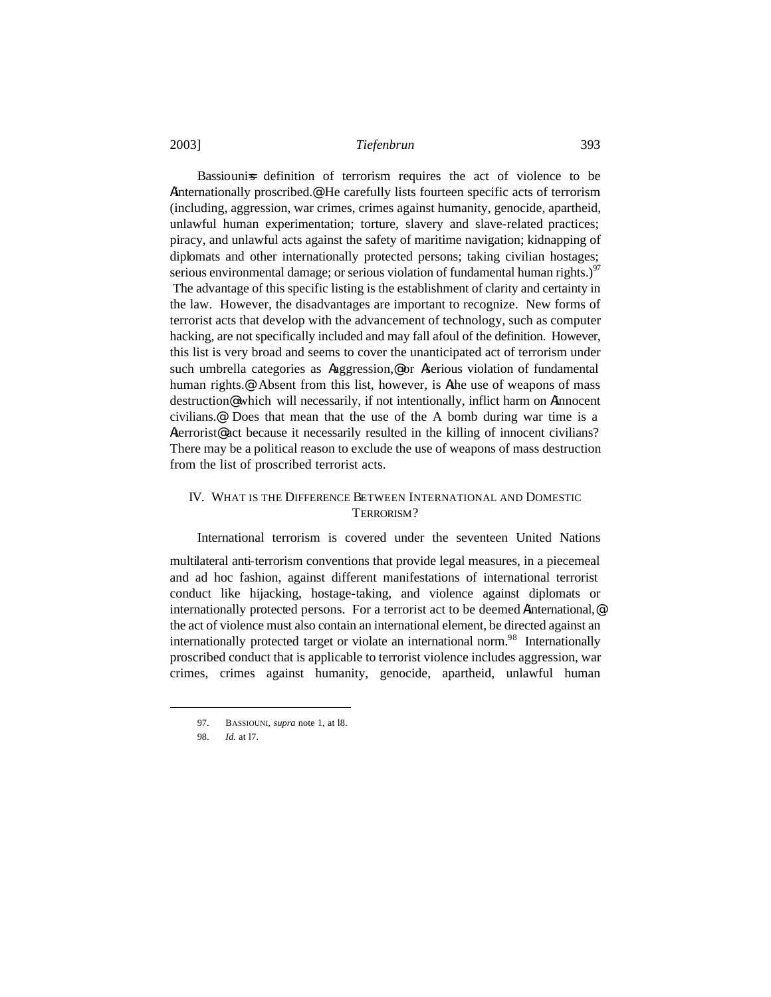Bassiounis definition of terrorism requires the act of violence to be Ainternationally proscribed.@ He carefully lists fourteen specific acts of terrorism (including, aggression, war crimes, crimes against humanity, genocide, apartheid, unlawful human experimentation; torture, slavery and slave-related practices; piracy, and unlawful acts against the safety of maritime navigation; kidnapping of diplomats and other internationally protected persons; taking civilian hostages; serious environmental damage; or serious violation of fundamental human rights.) $97$  The advantage of this specific listing is the establishment of clarity and certainty in the law. However, the disadvantages are important to recognize. New forms of terrorist acts that develop with the advancement of technology, such as computer hacking, are not specifically included and may fall afoul of the definition. However, this list is very broad and seems to cover the unanticipated act of terrorism under such umbrella categories as Aaggression,<sup>@</sup> or Aserious violation of fundamental human rights.<sup>@</sup> Absent from this list, however, is Athe use of weapons of mass destruction@ which will necessarily, if not intentionally, inflict harm on Ainnocent civilians.@ Does that mean that the use of the A bomb during war time is a Aterrorist<sup>®</sup> act because it necessarily resulted in the killing of innocent civilians? There may be a political reason to exclude the use of weapons of mass destruction from the list of proscribed terrorist acts.

# IV. WHAT IS THE DIFFERENCE BETWEEN INTERNATIONAL AND DOMESTIC TERRORISM?

International terrorism is covered under the seventeen United Nations

multilateral anti-terrorism conventions that provide legal measures, in a piecemeal and ad hoc fashion, against different manifestations of international terrorist conduct like hijacking, hostage-taking, and violence against diplomats or internationally protected persons. For a terrorist act to be deemed Ainternational,@ the act of violence must also contain an international element, be directed against an internationally protected target or violate an international norm.<sup>98</sup> Internationally proscribed conduct that is applicable to terrorist violence includes aggression, war crimes, crimes against humanity, genocide, apartheid, unlawful human

<sup>97.</sup> BASSIOUNI, *supra* note 1, at l8.

<sup>98.</sup> *Id.* at l7.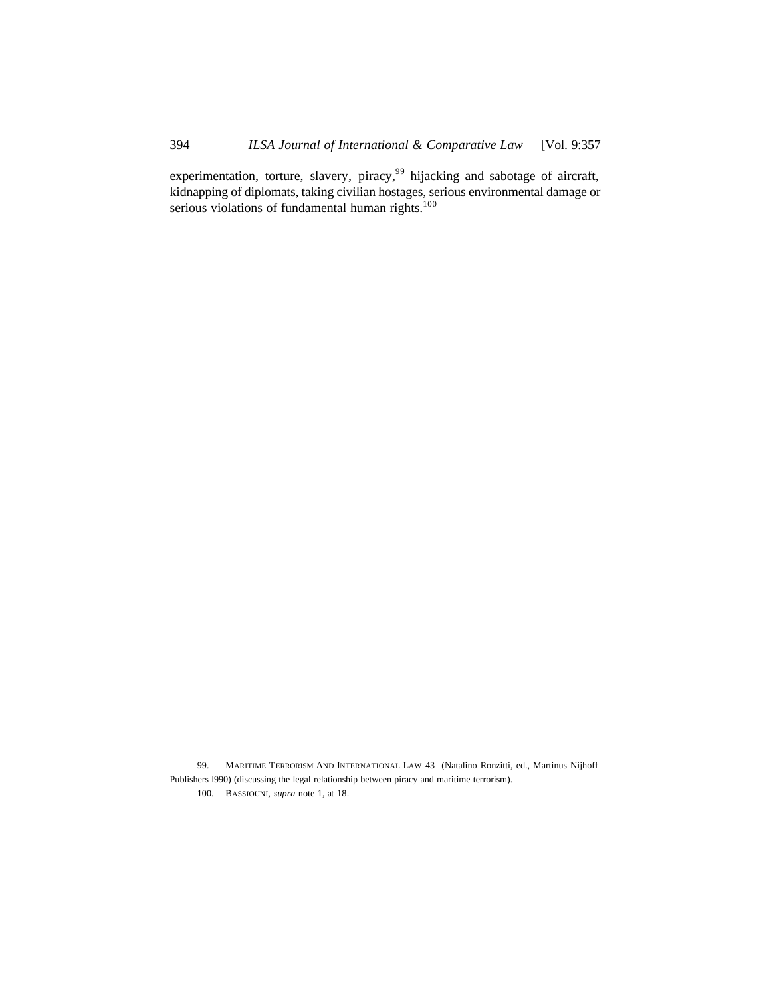experimentation, torture, slavery, piracy,<sup>99</sup> hijacking and sabotage of aircraft, kidnapping of diplomats, taking civilian hostages, serious environmental damage or serious violations of fundamental human rights.<sup>100</sup>

<sup>99.</sup> MARITIME TERRORISM AND INTERNATIONAL LAW 43 (Natalino Ronzitti, ed., Martinus Nijhoff Publishers l990) (discussing the legal relationship between piracy and maritime terrorism).

<sup>100.</sup> BASSIOUNI, *supra* note 1, at 18.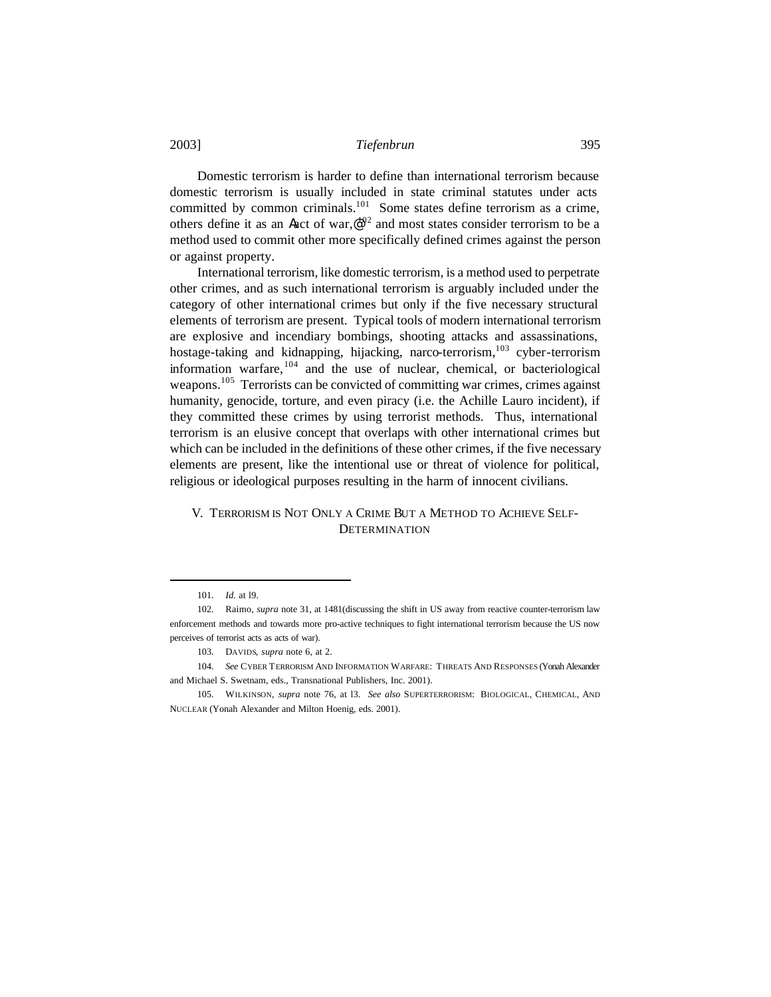Domestic terrorism is harder to define than international terrorism because domestic terrorism is usually included in state criminal statutes under acts committed by common criminals.<sup>101</sup> Some states define terrorism as a crime, others define it as an Aact of war,  $e^{i02}$  and most states consider terrorism to be a method used to commit other more specifically defined crimes against the person or against property.

International terrorism, like domestic terrorism, is a method used to perpetrate other crimes, and as such international terrorism is arguably included under the category of other international crimes but only if the five necessary structural elements of terrorism are present. Typical tools of modern international terrorism are explosive and incendiary bombings, shooting attacks and assassinations, hostage-taking and kidnapping, hijacking, narco-terrorism,<sup>103</sup> cyber-terrorism information warfare,  $104$  and the use of nuclear, chemical, or bacteriological weapons.<sup>105</sup> Terrorists can be convicted of committing war crimes, crimes against humanity, genocide, torture, and even piracy (i.e. the Achille Lauro incident), if they committed these crimes by using terrorist methods. Thus, international terrorism is an elusive concept that overlaps with other international crimes but which can be included in the definitions of these other crimes, if the five necessary elements are present, like the intentional use or threat of violence for political, religious or ideological purposes resulting in the harm of innocent civilians.

# V. TERRORISM IS NOT ONLY A CRIME BUT A METHOD TO ACHIEVE SELF-**DETERMINATION**

<sup>101.</sup> *Id.* at l9.

<sup>102.</sup> Raimo, *supra* note 31, at 1481(discussing the shift in US away from reactive counter-terrorism law enforcement methods and towards more pro-active techniques to fight international terrorism because the US now perceives of terrorist acts as acts of war).

<sup>103.</sup> DAVIDS, *supra* note 6, at 2.

<sup>104.</sup> *See* CYBER TERRORISM AND INFORMATION WARFARE: THREATS AND RESPONSES (Yonah Alexander and Michael S. Swetnam, eds., Transnational Publishers, Inc. 2001).

<sup>105.</sup> WILKINSON, *supra* note 76, at l3. *See also* SUPERTERRORISM: BIOLOGICAL, CHEMICAL, AND NUCLEAR (Yonah Alexander and Milton Hoenig, eds. 2001).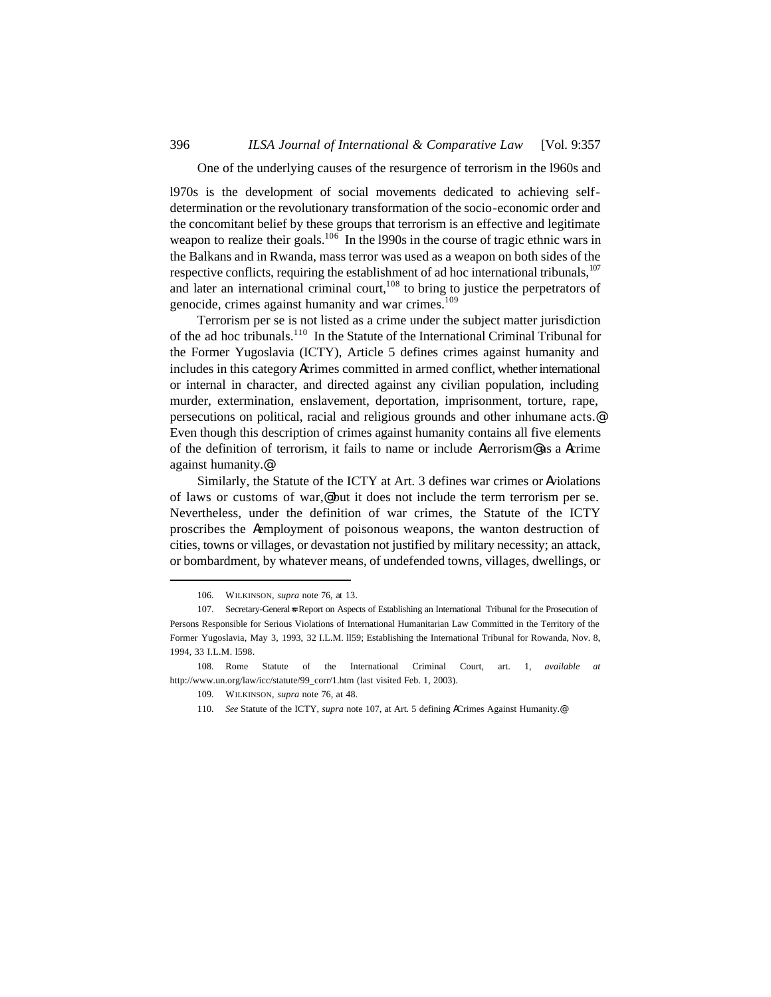#### One of the underlying causes of the resurgence of terrorism in the l960s and

l970s is the development of social movements dedicated to achieving selfdetermination or the revolutionary transformation of the socio-economic order and the concomitant belief by these groups that terrorism is an effective and legitimate weapon to realize their goals.<sup>106</sup> In the l990s in the course of tragic ethnic wars in the Balkans and in Rwanda, mass terror was used as a weapon on both sides of the respective conflicts, requiring the establishment of ad hoc international tribunals. $107$ and later an international criminal court, $108$  to bring to justice the perpetrators of genocide, crimes against humanity and war crimes.<sup>109</sup>

Terrorism per se is not listed as a crime under the subject matter jurisdiction of the ad hoc tribunals.<sup>110</sup> In the Statute of the International Criminal Tribunal for the Former Yugoslavia (ICTY), Article 5 defines crimes against humanity and includes in this category Acrimes committed in armed conflict, whether international or internal in character, and directed against any civilian population, including murder, extermination, enslavement, deportation, imprisonment, torture, rape, persecutions on political, racial and religious grounds and other inhumane acts.@ Even though this description of crimes against humanity contains all five elements of the definition of terrorism, it fails to name or include Aterrorism@ as a Acrime against humanity.@

Similarly, the Statute of the ICTY at Art. 3 defines war crimes or Aviolations of laws or customs of war,@ but it does not include the term terrorism per se. Nevertheless, under the definition of war crimes, the Statute of the ICTY proscribes the Aemployment of poisonous weapons, the wanton destruction of cities, towns or villages, or devastation not justified by military necessity; an attack, or bombardment, by whatever means, of undefended towns, villages, dwellings, or

<sup>106.</sup> WILKINSON, *supra* note 76*,* at 13.

<sup>107.</sup> Secretary-General=s Report on Aspects of Establishing an International Tribunal for the Prosecution of Persons Responsible for Serious Violations of International Humanitarian Law Committed in the Territory of the Former Yugoslavia, May 3, 1993, 32 I.L.M. ll59; Establishing the International Tribunal for Rowanda, Nov. 8, 1994, 33 I.L.M. l598.

<sup>108.</sup> Rome Statute of the International Criminal Court, art. 1, *available at* http://www.un.org/law/icc/statute/99\_corr/1.htm (last visited Feb. 1, 2003).

<sup>109.</sup> WILKINSON, *supra* note 76, at 48.

<sup>110.</sup> *See* Statute of the ICTY, *supra* note 107, at Art. 5 defining ACrimes Against Humanity.@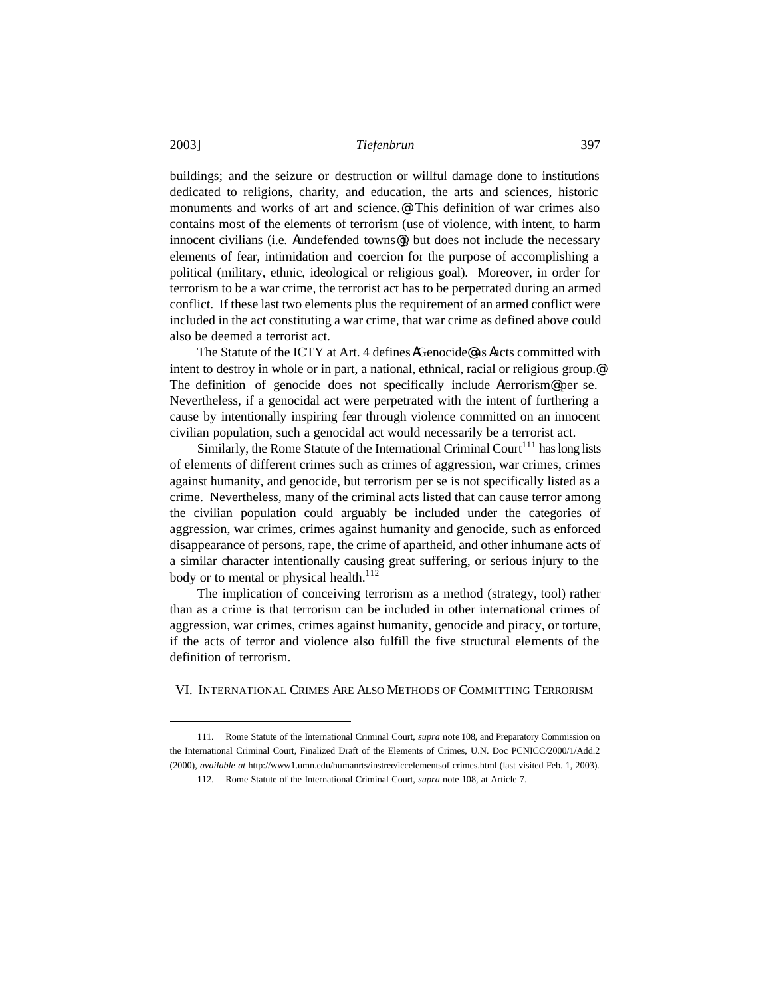buildings; and the seizure or destruction or willful damage done to institutions dedicated to religions, charity, and education, the arts and sciences, historic monuments and works of art and science.@ This definition of war crimes also contains most of the elements of terrorism (use of violence, with intent, to harm innocent civilians (i.e. Aundefended towns@), but does not include the necessary elements of fear, intimidation and coercion for the purpose of accomplishing a political (military, ethnic, ideological or religious goal). Moreover, in order for terrorism to be a war crime, the terrorist act has to be perpetrated during an armed conflict. If these last two elements plus the requirement of an armed conflict were included in the act constituting a war crime, that war crime as defined above could also be deemed a terrorist act.

The Statute of the ICTY at Art. 4 defines AGenocide@ as Aacts committed with intent to destroy in whole or in part, a national, ethnical, racial or religious group.@ The definition of genocide does not specifically include Aterrorism<sup>o</sup> per se. Nevertheless, if a genocidal act were perpetrated with the intent of furthering a cause by intentionally inspiring fear through violence committed on an innocent civilian population, such a genocidal act would necessarily be a terrorist act.

Similarly, the Rome Statute of the International Criminal Court<sup>111</sup> has long lists of elements of different crimes such as crimes of aggression, war crimes, crimes against humanity, and genocide, but terrorism per se is not specifically listed as a crime. Nevertheless, many of the criminal acts listed that can cause terror among the civilian population could arguably be included under the categories of aggression, war crimes, crimes against humanity and genocide, such as enforced disappearance of persons, rape, the crime of apartheid, and other inhumane acts of a similar character intentionally causing great suffering, or serious injury to the body or to mental or physical health. $112$ 

The implication of conceiving terrorism as a method (strategy, tool) rather than as a crime is that terrorism can be included in other international crimes of aggression, war crimes, crimes against humanity, genocide and piracy, or torture, if the acts of terror and violence also fulfill the five structural elements of the definition of terrorism.

VI. INTERNATIONAL CRIMES ARE ALSO METHODS OF COMMITTING TERRORISM

<sup>111.</sup> Rome Statute of the International Criminal Court, *supra* note 108, and Preparatory Commission on the International Criminal Court, Finalized Draft of the Elements of Crimes, U.N. Doc PCNICC/2000/1/Add.2 (2000), *available at* http://www1.umn.edu/humanrts/instree/iccelementsof crimes.html (last visited Feb. 1, 2003).

<sup>112.</sup> Rome Statute of the International Criminal Court, *supra* note 108, at Article 7.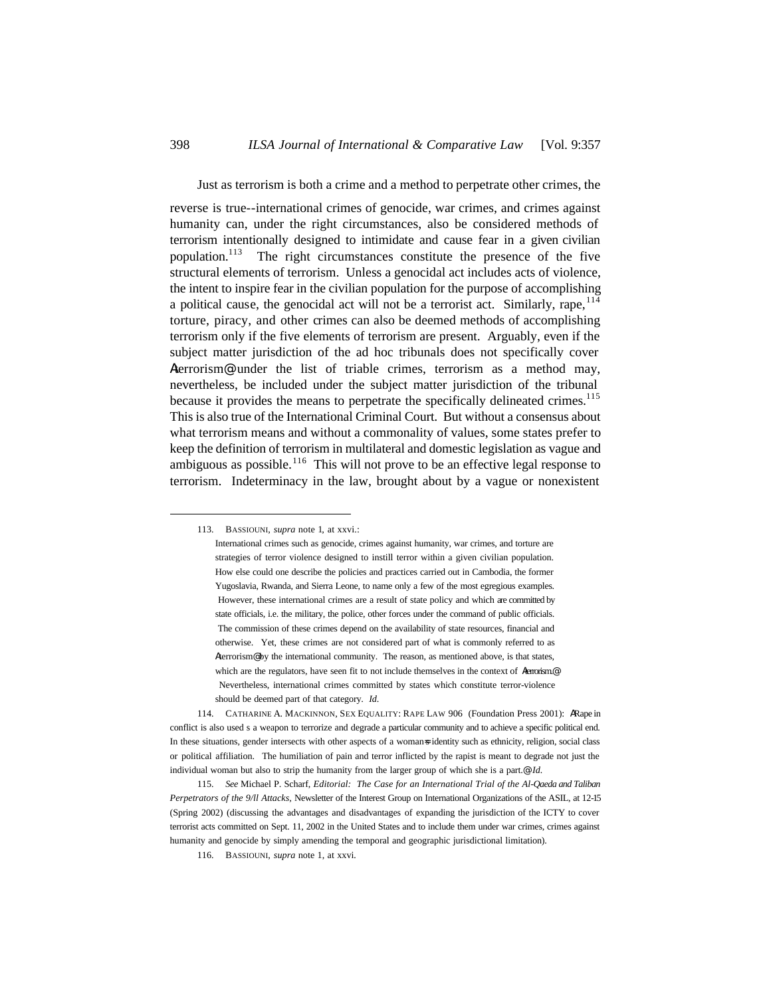#### Just as terrorism is both a crime and a method to perpetrate other crimes, the

reverse is true--international crimes of genocide, war crimes, and crimes against humanity can, under the right circumstances, also be considered methods of terrorism intentionally designed to intimidate and cause fear in a given civilian population.<sup>113</sup> The right circumstances constitute the presence of the five structural elements of terrorism. Unless a genocidal act includes acts of violence, the intent to inspire fear in the civilian population for the purpose of accomplishing a political cause, the genocidal act will not be a terrorist act. Similarly, rape,  $114$ torture, piracy, and other crimes can also be deemed methods of accomplishing terrorism only if the five elements of terrorism are present. Arguably, even if the subject matter jurisdiction of the ad hoc tribunals does not specifically cover Aterrorism@ under the list of triable crimes, terrorism as a method may, nevertheless, be included under the subject matter jurisdiction of the tribunal because it provides the means to perpetrate the specifically delineated crimes.<sup>115</sup> This is also true of the International Criminal Court. But without a consensus about what terrorism means and without a commonality of values, some states prefer to keep the definition of terrorism in multilateral and domestic legislation as vague and ambiguous as possible.<sup>116</sup> This will not prove to be an effective legal response to terrorism. Indeterminacy in the law, brought about by a vague or nonexistent

<sup>113.</sup> BASSIOUNI, *supra* note 1*,* at xxvi.:

International crimes such as genocide, crimes against humanity, war crimes, and torture are strategies of terror violence designed to instill terror within a given civilian population. How else could one describe the policies and practices carried out in Cambodia, the former Yugoslavia, Rwanda, and Sierra Leone, to name only a few of the most egregious examples. However, these international crimes are a result of state policy and which are committed by state officials, i.e. the military, the police, other forces under the command of public officials. The commission of these crimes depend on the availability of state resources, financial and otherwise. Yet, these crimes are not considered part of what is commonly referred to as Aterrorism@ by the international community. The reason, as mentioned above, is that states, which are the regulators, have seen fit to not include themselves in the context of Aterrorism. Nevertheless, international crimes committed by states which constitute terror-violence should be deemed part of that category. *Id*.

<sup>114.</sup> CATHARINE A. MACKINNON, SEX EQUALITY: RAPE LAW 906 (Foundation Press 2001): ARape in conflict is also used s a weapon to terrorize and degrade a particular community and to achieve a specific political end. In these situations, gender intersects with other aspects of a woman=s identity such as ethnicity, religion, social class or political affiliation. The humiliation of pain and terror inflicted by the rapist is meant to degrade not just the individual woman but also to strip the humanity from the larger group of which she is a part.@ *Id.*

<sup>115.</sup> *See* Michael P. Scharf, *Editorial: The Case for an International Trial of the Al-Qaeda and Taliban Perpetrators of the 9/ll Attacks,* Newsletter of the Interest Group on International Organizations of the ASIL, at 12-15 (Spring 2002) (discussing the advantages and disadvantages of expanding the jurisdiction of the ICTY to cover terrorist acts committed on Sept. 11, 2002 in the United States and to include them under war crimes, crimes against humanity and genocide by simply amending the temporal and geographic jurisdictional limitation).

<sup>116.</sup> BASSIOUNI, *supra* note 1, at xxvi*.*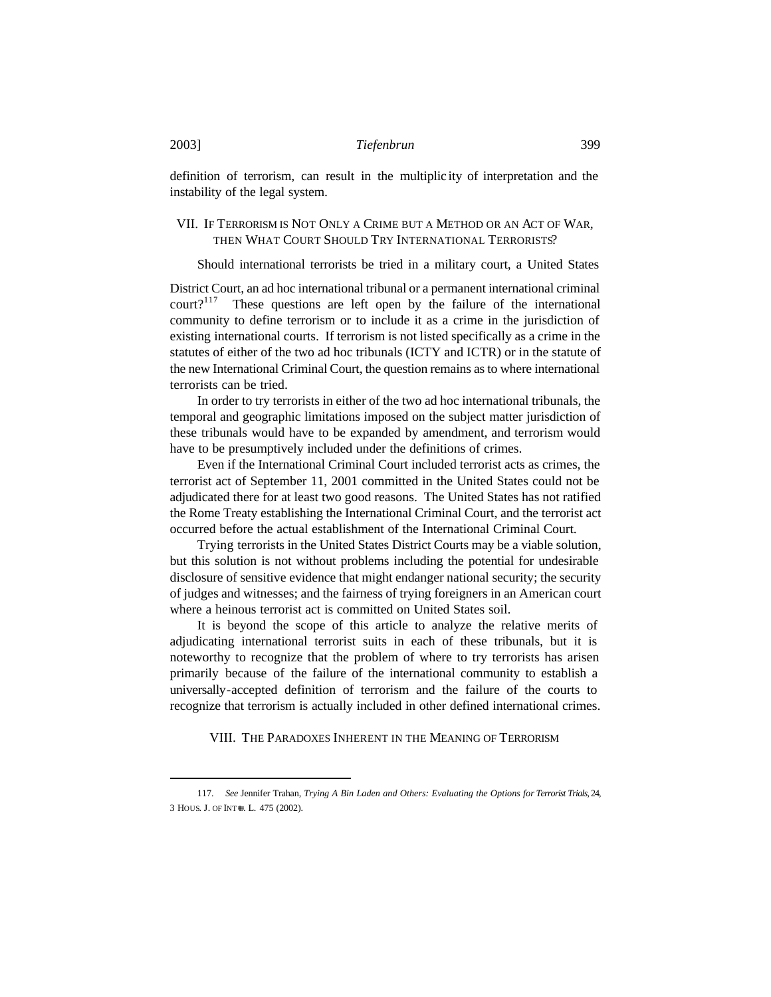definition of terrorism, can result in the multiplic ity of interpretation and the instability of the legal system.

# VII. IF TERRORISM IS NOT ONLY A CRIME BUT A METHOD OR AN ACT OF WAR, THEN WHAT COURT SHOULD TRY INTERNATIONAL TERRORISTS?

Should international terrorists be tried in a military court, a United States

District Court, an ad hoc international tribunal or a permanent international criminal  $\text{count}$ ?<sup>117</sup> These questions are left open by the failure of the international community to define terrorism or to include it as a crime in the jurisdiction of existing international courts. If terrorism is not listed specifically as a crime in the statutes of either of the two ad hoc tribunals (ICTY and ICTR) or in the statute of the new International Criminal Court, the question remains as to where international terrorists can be tried.

In order to try terrorists in either of the two ad hoc international tribunals, the temporal and geographic limitations imposed on the subject matter jurisdiction of these tribunals would have to be expanded by amendment, and terrorism would have to be presumptively included under the definitions of crimes.

Even if the International Criminal Court included terrorist acts as crimes, the terrorist act of September 11, 2001 committed in the United States could not be adjudicated there for at least two good reasons. The United States has not ratified the Rome Treaty establishing the International Criminal Court, and the terrorist act occurred before the actual establishment of the International Criminal Court.

Trying terrorists in the United States District Courts may be a viable solution, but this solution is not without problems including the potential for undesirable disclosure of sensitive evidence that might endanger national security; the security of judges and witnesses; and the fairness of trying foreigners in an American court where a heinous terrorist act is committed on United States soil.

It is beyond the scope of this article to analyze the relative merits of adjudicating international terrorist suits in each of these tribunals, but it is noteworthy to recognize that the problem of where to try terrorists has arisen primarily because of the failure of the international community to establish a universally-accepted definition of terrorism and the failure of the courts to recognize that terrorism is actually included in other defined international crimes.

VIII. THE PARADOXES INHERENT IN THE MEANING OF TERRORISM

<sup>117.</sup> *See* Jennifer Trahan, *Trying A Bin Laden and Others: Evaluating the Options for Terrorist Trials,* 24, 3 HOUS. J. OF INT=L. L. 475 (2002).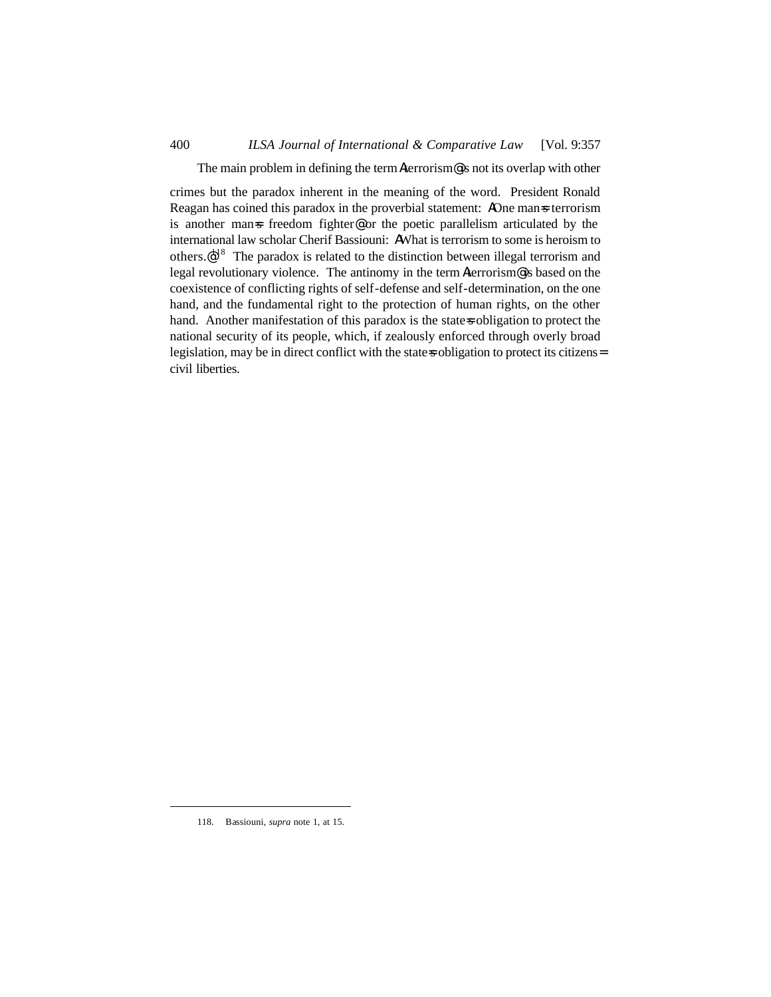The main problem in defining the term Aterrorism@ is not its overlap with other

crimes but the paradox inherent in the meaning of the word. President Ronald Reagan has coined this paradox in the proverbial statement: AOne man=s terrorism is another man=s freedom fighter@ or the poetic parallelism articulated by the international law scholar Cherif Bassiouni: AWhat is terrorism to some is heroism to others. $\mathcal{Q}^{18}$  The paradox is related to the distinction between illegal terrorism and legal revolutionary violence. The antinomy in the term Aterrorism<sup>@</sup> is based on the coexistence of conflicting rights of self-defense and self-determination, on the one hand, and the fundamental right to the protection of human rights, on the other hand. Another manifestation of this paradox is the state-s obligation to protect the national security of its people, which, if zealously enforced through overly broad legislation, may be in direct conflict with the state sobligation to protect its citizens= civil liberties.

<sup>118.</sup> Bassiouni, *supra* note 1, at 15.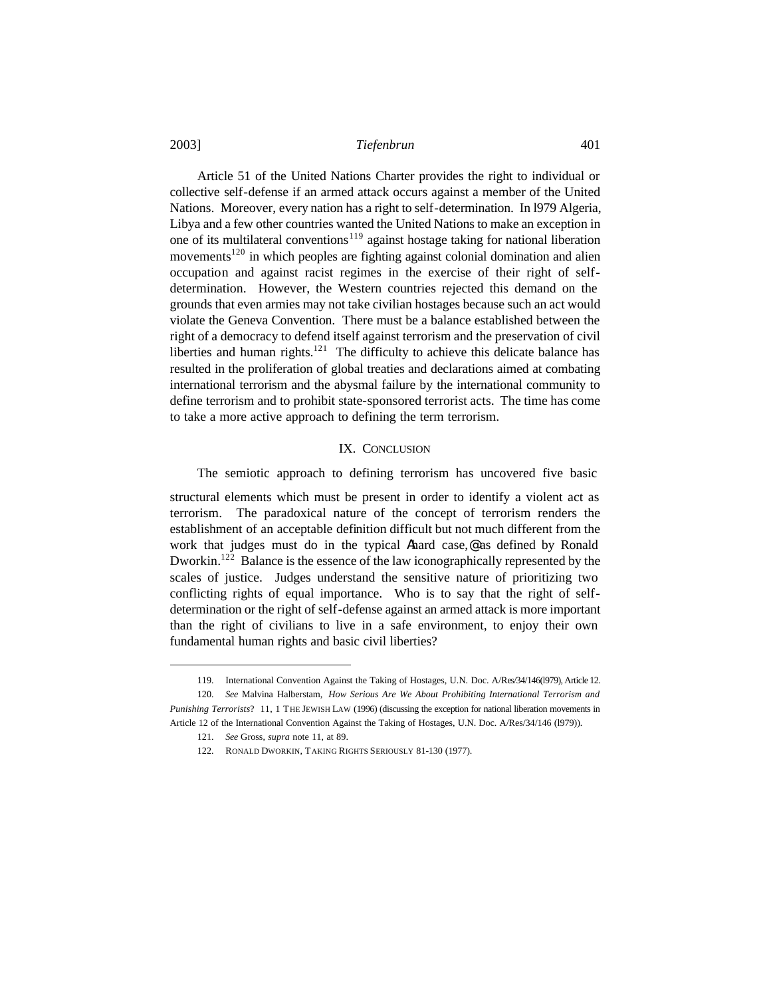Article 51 of the United Nations Charter provides the right to individual or collective self-defense if an armed attack occurs against a member of the United Nations. Moreover, every nation has a right to self-determination. In l979 Algeria, Libya and a few other countries wanted the United Nations to make an exception in one of its multilateral conventions<sup>119</sup> against hostage taking for national liberation movements<sup>120</sup> in which peoples are fighting against colonial domination and alien occupation and against racist regimes in the exercise of their right of selfdetermination. However, the Western countries rejected this demand on the grounds that even armies may not take civilian hostages because such an act would violate the Geneva Convention. There must be a balance established between the right of a democracy to defend itself against terrorism and the preservation of civil liberties and human rights. $121$  The difficulty to achieve this delicate balance has resulted in the proliferation of global treaties and declarations aimed at combating international terrorism and the abysmal failure by the international community to define terrorism and to prohibit state-sponsored terrorist acts. The time has come to take a more active approach to defining the term terrorism.

# IX. CONCLUSION

The semiotic approach to defining terrorism has uncovered five basic

structural elements which must be present in order to identify a violent act as terrorism. The paradoxical nature of the concept of terrorism renders the establishment of an acceptable definition difficult but not much different from the work that judges must do in the typical Ahard case,@ as defined by Ronald Dworkin.<sup>122</sup> Balance is the essence of the law iconographically represented by the scales of justice. Judges understand the sensitive nature of prioritizing two conflicting rights of equal importance. Who is to say that the right of selfdetermination or the right of self-defense against an armed attack is more important than the right of civilians to live in a safe environment, to enjoy their own fundamental human rights and basic civil liberties?

<sup>119.</sup> International Convention Against the Taking of Hostages, U.N. Doc. A/Res/34/146(l979), Article 12.

<sup>120.</sup> *See* Malvina Halberstam, *How Serious Are We About Prohibiting International Terrorism and Punishing Terrorists*? 11, 1 THE JEWISH LAW (1996) (discussing the exception for national liberation movements in Article 12 of the International Convention Against the Taking of Hostages, U.N. Doc. A/Res/34/146 (l979)).

<sup>121.</sup> *See* Gross, *supra* note 11, at 89.

<sup>122.</sup> RONALD DWORKIN, TAKING RIGHTS SERIOUSLY 81-130 (1977).